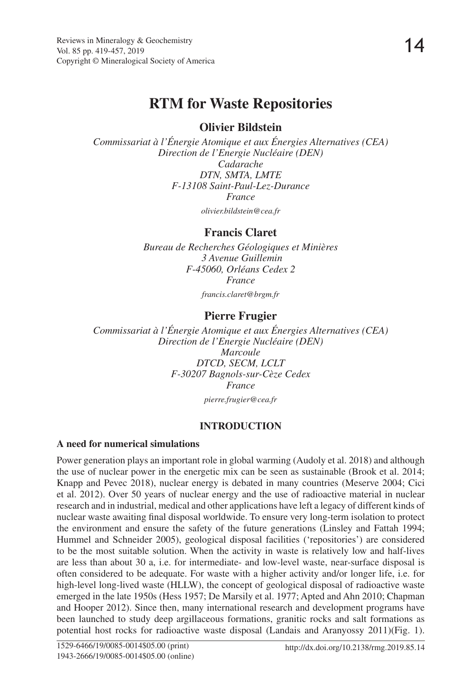# **RTM for Waste Repositories**

**Olivier Bildstein**

*Commissariat à l'Énergie Atomique et aux Énergies Alternatives (CEA) Direction de l'Energie Nucléaire (DEN) Cadarache DTN, SMTA, LMTE F-13108 Saint-Paul-Lez-Durance France*

*olivier.bildstein@cea.fr*

# **Francis Claret**

*Bureau de Recherches Géologiques et Minières 3 Avenue Guillemin F-45060, Orléans Cedex 2 France*

*francis.claret@brgm.fr*

# **Pierre Frugier**

*Commissariat à l'Énergie Atomique et aux Énergies Alternatives (CEA) Direction de l'Energie Nucléaire (DEN) Marcoule DTCD, SECM, LCLT F-30207 Bagnols-sur-Cèze Cedex France* 

*pierre.frugier@cea.fr*

# **INTRODUCTION**

# **A need for numerical simulations**

Power generation plays an important role in global warming (Audoly et al. 2018) and although the use of nuclear power in the energetic mix can be seen as sustainable (Brook et al. 2014; Knapp and Pevec 2018), nuclear energy is debated in many countries (Meserve 2004; Cici et al. 2012). Over 50 years of nuclear energy and the use of radioactive material in nuclear research and in industrial, medical and other applications have left a legacy of different kinds of nuclear waste awaiting final disposal worldwide. To ensure very long-term isolation to protect the environment and ensure the safety of the future generations (Linsley and Fattah 1994; Hummel and Schneider 2005), geological disposal facilities ('repositories') are considered to be the most suitable solution. When the activity in waste is relatively low and half-lives are less than about 30 a, i.e. for intermediate- and low-level waste, near-surface disposal is often considered to be adequate. For waste with a higher activity and/or longer life, i.e. for high-level long-lived waste (HLLW), the concept of geological disposal of radioactive waste emerged in the late 1950s (Hess 1957; De Marsily et al. 1977; Apted and Ahn 2010; Chapman and Hooper 2012). Since then, many international research and development programs have been launched to study deep argillaceous formations, granitic rocks and salt formations as potential host rocks for radioactive waste disposal (Landais and Aranyossy 2011)(Fig. 1).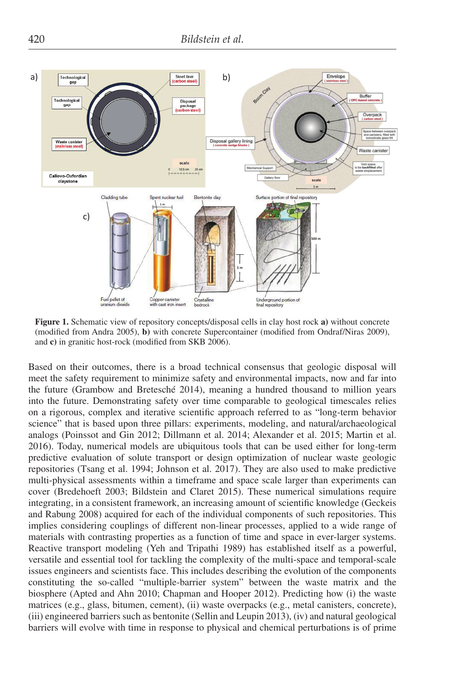

**Figure 1.** Schematic view of repository concepts/disposal cells in clay host rock **a)** without concrete (modified from Andra 2005), **b)** with concrete Supercontainer (modified from Ondraf/Niras 2009), and **c)** in granitic host-rock (modified from SKB 2006).

Based on their outcomes, there is a broad technical consensus that geologic disposal will meet the safety requirement to minimize safety and environmental impacts, now and far into the future (Grambow and Bretesché 2014), meaning a hundred thousand to million years into the future. Demonstrating safety over time comparable to geological timescales relies on a rigorous, complex and iterative scientific approach referred to as "long-term behavior science" that is based upon three pillars: experiments, modeling, and natural/archaeological analogs (Poinssot and Gin 2012; Dillmann et al. 2014; Alexander et al. 2015; Martin et al. 2016). Today, numerical models are ubiquitous tools that can be used either for long-term predictive evaluation of solute transport or design optimization of nuclear waste geologic repositories (Tsang et al. 1994; Johnson et al. 2017). They are also used to make predictive multi-physical assessments within a timeframe and space scale larger than experiments can cover (Bredehoeft 2003; Bildstein and Claret 2015). These numerical simulations require integrating, in a consistent framework, an increasing amount of scientific knowledge (Geckeis and Rabung 2008) acquired for each of the individual components of such repositories. This implies considering couplings of different non-linear processes, applied to a wide range of materials with contrasting properties as a function of time and space in ever-larger systems. Reactive transport modeling (Yeh and Tripathi 1989) has established itself as a powerful, versatile and essential tool for tackling the complexity of the multi-space and temporal-scale issues engineers and scientists face. This includes describing the evolution of the components constituting the so-called "multiple-barrier system" between the waste matrix and the biosphere (Apted and Ahn 2010; Chapman and Hooper 2012). Predicting how (i) the waste matrices (e.g., glass, bitumen, cement), (ii) waste overpacks (e.g., metal canisters, concrete), (iii) engineered barriers such as bentonite (Sellin and Leupin 2013), (iv) and natural geological barriers will evolve with time in response to physical and chemical perturbations is of prime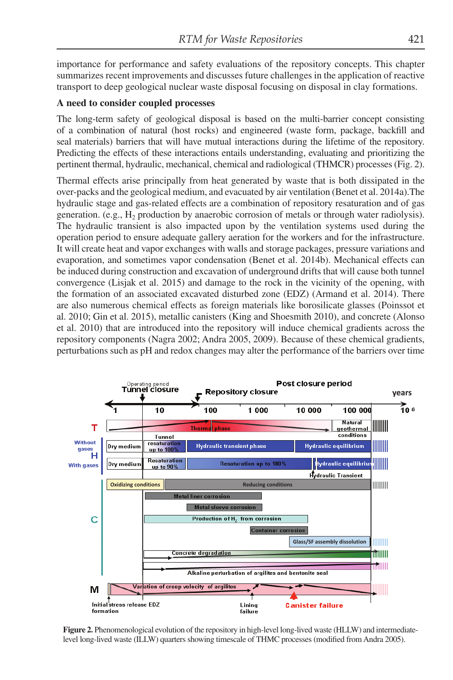importance for performance and safety evaluations of the repository concepts. This chapter summarizes recent improvements and discusses future challenges in the application of reactive transport to deep geological nuclear waste disposal focusing on disposal in clay formations.

# **A need to consider coupled processes**

The long-term safety of geological disposal is based on the multi-barrier concept consisting of a combination of natural (host rocks) and engineered (waste form, package, backfill and seal materials) barriers that will have mutual interactions during the lifetime of the repository. Predicting the effects of these interactions entails understanding, evaluating and prioritizing the pertinent thermal, hydraulic, mechanical, chemical and radiological (THMCR) processes (Fig. 2).

Thermal effects arise principally from heat generated by waste that is both dissipated in the over-packs and the geological medium, and evacuated by air ventilation (Benet et al. 2014a).The hydraulic stage and gas-related effects are a combination of repository resaturation and of gas generation. (e.g.,  $H_2$  production by anaerobic corrosion of metals or through water radiolysis). The hydraulic transient is also impacted upon by the ventilation systems used during the operation period to ensure adequate gallery aeration for the workers and for the infrastructure. It will create heat and vapor exchanges with walls and storage packages, pressure variations and evaporation, and sometimes vapor condensation (Benet et al. 2014b). Mechanical effects can be induced during construction and excavation of underground drifts that will cause both tunnel convergence (Lisjak et al. 2015) and damage to the rock in the vicinity of the opening, with the formation of an associated excavated disturbed zone (EDZ) (Armand et al. 2014). There are also numerous chemical effects as foreign materials like borosilicate glasses (Poinssot et al. 2010; Gin et al. 2015), metallic canisters (King and Shoesmith 2010), and concrete (Alonso et al. 2010) that are introduced into the repository will induce chemical gradients across the repository components (Nagra 2002; Andra 2005, 2009). Because of these chemical gradients, perturbations such as pH and redox changes may alter the performance of the barriers over time



**Figure 2.** Phenomenological evolution of the repository in high-level long-lived waste (HLLW) and intermediatelevel long-lived waste (ILLW) quarters showing timescale of THMC processes (modified from Andra 2005).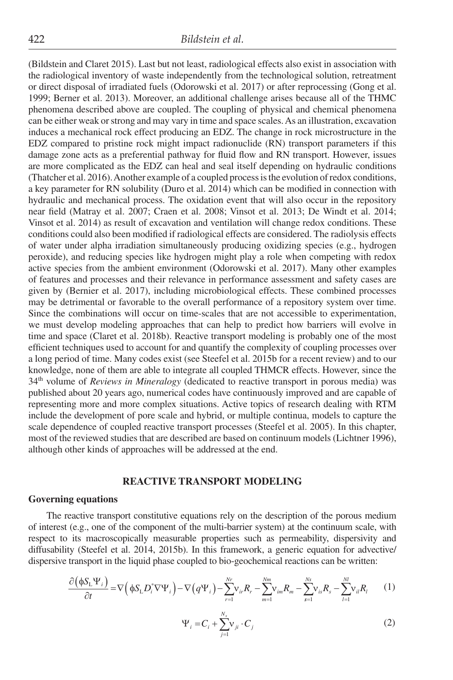(Bildstein and Claret 2015). Last but not least, radiological effects also exist in association with the radiological inventory of waste independently from the technological solution, retreatment or direct disposal of irradiated fuels (Odorowski et al. 2017) or after reprocessing (Gong et al. 1999; Berner et al. 2013). Moreover, an additional challenge arises because all of the THMC phenomena described above are coupled. The coupling of physical and chemical phenomena can be either weak or strong and may vary in time and space scales. As an illustration, excavation induces a mechanical rock effect producing an EDZ. The change in rock microstructure in the EDZ compared to pristine rock might impact radionuclide (RN) transport parameters if this damage zone acts as a preferential pathway for fluid flow and RN transport. However, issues are more complicated as the EDZ can heal and seal itself depending on hydraulic conditions (Thatcher et al. 2016). Another example of a coupled process is the evolution of redox conditions, a key parameter for RN solubility (Duro et al. 2014) which can be modified in connection with hydraulic and mechanical process. The oxidation event that will also occur in the repository near field (Matray et al. 2007; Craen et al. 2008; Vinsot et al. 2013; De Windt et al. 2014; Vinsot et al. 2014) as result of excavation and ventilation will change redox conditions. These conditions could also been modified if radiological effects are considered. The radiolysis effects of water under alpha irradiation simultaneously producing oxidizing species (e.g., hydrogen peroxide), and reducing species like hydrogen might play a role when competing with redox active species from the ambient environment (Odorowski et al. 2017). Many other examples of features and processes and their relevance in performance assessment and safety cases are given by (Bernier et al. 2017), including microbiological effects. These combined processes may be detrimental or favorable to the overall performance of a repository system over time. Since the combinations will occur on time-scales that are not accessible to experimentation, we must develop modeling approaches that can help to predict how barriers will evolve in time and space (Claret et al. 2018b). Reactive transport modeling is probably one of the most efficient techniques used to account for and quantify the complexity of coupling processes over a long period of time. Many codes exist (see Steefel et al. 2015b for a recent review) and to our knowledge, none of them are able to integrate all coupled THMCR effects. However, since the 34th volume of *Reviews in Mineralogy* (dedicated to reactive transport in porous media) was published about 20 years ago, numerical codes have continuously improved and are capable of representing more and more complex situations. Active topics of research dealing with RTM include the development of pore scale and hybrid, or multiple continua, models to capture the scale dependence of coupled reactive transport processes (Steefel et al. 2005). In this chapter, most of the reviewed studies that are described are based on continuum models (Lichtner 1996), although other kinds of approaches will be addressed at the end.

# **REACTIVE TRANSPORT MODELING**

#### **Governing equations**

The reactive transport constitutive equations rely on the description of the porous medium of interest (e.g., one of the component of the multi-barrier system) at the continuum scale, with respect to its macroscopically measurable properties such as permeability, dispersivity and diffusability (Steefel et al. 2014, 2015b). In this framework, a generic equation for advective/ dispersive transport in the liquid phase coupled to bio-geochemical reactions can be written:

$$
\frac{\partial (\phi S_{\rm L} \Psi_i)}{\partial t} = \nabla (\phi S_{\rm L} D_i^* \nabla \Psi_i) - \nabla (q \Psi_i) - \sum_{r=1}^{N r} v_{ir} R_r - \sum_{m=1}^{N m} v_{im} R_m - \sum_{s=1}^{N s} v_{is} R_s - \sum_{l=1}^{N l} v_{il} R_l \tag{1}
$$

$$
\Psi_i = C_i + \sum_{j=1}^{N_x} v_{ji} \cdot C_j \tag{2}
$$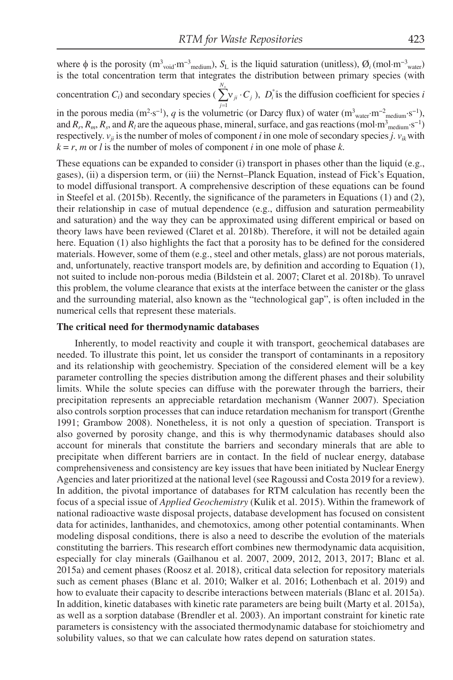where  $\phi$  is the porosity (m<sup>3</sup><sub>void</sub>·m<sup>-3</sup><sub>medium</sub>), *S*<sub>L</sub> is the liquid saturation (unitless),  $\emptyset$ <sub>i</sub> (mol·m<sup>-3</sup><sub>water</sub>) is the total concentration term that integrates the distribution between primary species (with concentration  $C_i$ ) and secondary species ( $\sum_{i=1}^{N}$ in the porous media (m<sup>2</sup>·s<sup>−1</sup>), *q* is the volumetric (or Darcy flux) of water (m<sup>3</sup><sub>water</sub>·m<sup>−2</sup><sub>medium</sub>·s<sup>−1</sup>), *ji j*  $\sum_{j=1}^{N_x} V_{ji} \cdot C_j$ ),  $D_i^*$  is the diffusion coefficient for species *i* and  $R_r$ ,  $R_m$ ,  $R_s$ , and  $R_l$  are the aqueous phase, mineral, surface, and gas reactions (mol·m<sup>3</sup><sub>medium</sub>·s<sup>-1</sup>) respectively.  $v_{ii}$  is the number of moles of component *i* in one mole of secondary species *j*.  $v_{ik}$  with  $k = r$ , *m* or *l* is the number of moles of component *i* in one mole of phase *k*.

These equations can be expanded to consider (i) transport in phases other than the liquid (e.g., gases), (ii) a dispersion term, or (iii) the Nernst–Planck Equation, instead of Fick's Equation, to model diffusional transport. A comprehensive description of these equations can be found in Steefel et al. (2015b). Recently, the significance of the parameters in Equations (1) and (2), their relationship in case of mutual dependence (e.g., diffusion and saturation permeability and saturation) and the way they can be approximated using different empirical or based on theory laws have been reviewed (Claret et al. 2018b). Therefore, it will not be detailed again here. Equation (1) also highlights the fact that a porosity has to be defined for the considered materials. However, some of them (e.g., steel and other metals, glass) are not porous materials, and, unfortunately, reactive transport models are, by definition and according to Equation (1), not suited to include non-porous media (Bildstein et al. 2007; Claret et al. 2018b). To unravel this problem, the volume clearance that exists at the interface between the canister or the glass and the surrounding material, also known as the "technological gap", is often included in the numerical cells that represent these materials.

#### **The critical need for thermodynamic databases**

Inherently, to model reactivity and couple it with transport, geochemical databases are needed. To illustrate this point, let us consider the transport of contaminants in a repository and its relationship with geochemistry. Speciation of the considered element will be a key parameter controlling the species distribution among the different phases and their solubility limits. While the solute species can diffuse with the porewater through the barriers, their precipitation represents an appreciable retardation mechanism (Wanner 2007). Speciation also controls sorption processes that can induce retardation mechanism for transport (Grenthe 1991; Grambow 2008). Nonetheless, it is not only a question of speciation. Transport is also governed by porosity change, and this is why thermodynamic databases should also account for minerals that constitute the barriers and secondary minerals that are able to precipitate when different barriers are in contact. In the field of nuclear energy, database comprehensiveness and consistency are key issues that have been initiated by Nuclear Energy Agencies and later prioritized at the national level (see Ragoussi and Costa 2019 for a review). In addition, the pivotal importance of databases for RTM calculation has recently been the focus of a special issue of *Applied Geochemistry* (Kulik et al. 2015). Within the framework of national radioactive waste disposal projects, database development has focused on consistent data for actinides, lanthanides, and chemotoxics, among other potential contaminants. When modeling disposal conditions, there is also a need to describe the evolution of the materials constituting the barriers. This research effort combines new thermodynamic data acquisition, especially for clay minerals (Gailhanou et al. 2007, 2009, 2012, 2013, 2017; Blanc et al. 2015a) and cement phases (Roosz et al. 2018), critical data selection for repository materials such as cement phases (Blanc et al. 2010; Walker et al. 2016; Lothenbach et al. 2019) and how to evaluate their capacity to describe interactions between materials (Blanc et al. 2015a). In addition, kinetic databases with kinetic rate parameters are being built (Marty et al. 2015a), as well as a sorption database (Brendler et al. 2003). An important constraint for kinetic rate parameters is consistency with the associated thermodynamic database for stoichiometry and solubility values, so that we can calculate how rates depend on saturation states.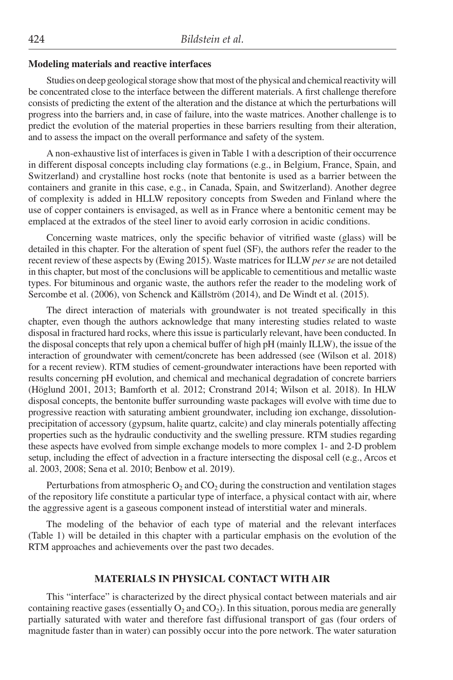# **Modeling materials and reactive interfaces**

Studies on deep geological storage show that most of the physical and chemical reactivity will be concentrated close to the interface between the different materials. A first challenge therefore consists of predicting the extent of the alteration and the distance at which the perturbations will progress into the barriers and, in case of failure, into the waste matrices. Another challenge is to predict the evolution of the material properties in these barriers resulting from their alteration, and to assess the impact on the overall performance and safety of the system.

A non-exhaustive list of interfaces is given in Table 1 with a description of their occurrence in different disposal concepts including clay formations (e.g., in Belgium, France, Spain, and Switzerland) and crystalline host rocks (note that bentonite is used as a barrier between the containers and granite in this case, e.g., in Canada, Spain, and Switzerland). Another degree of complexity is added in HLLW repository concepts from Sweden and Finland where the use of copper containers is envisaged, as well as in France where a bentonitic cement may be emplaced at the extrados of the steel liner to avoid early corrosion in acidic conditions.

Concerning waste matrices, only the specific behavior of vitrified waste (glass) will be detailed in this chapter. For the alteration of spent fuel (SF), the authors refer the reader to the recent review of these aspects by (Ewing 2015). Waste matrices for ILLW *per se* are not detailed in this chapter, but most of the conclusions will be applicable to cementitious and metallic waste types. For bituminous and organic waste, the authors refer the reader to the modeling work of Sercombe et al. (2006), von Schenck and Källström (2014), and De Windt et al. (2015).

The direct interaction of materials with groundwater is not treated specifically in this chapter, even though the authors acknowledge that many interesting studies related to waste disposal in fractured hard rocks, where this issue is particularly relevant, have been conducted. In the disposal concepts that rely upon a chemical buffer of high pH (mainly ILLW), the issue of the interaction of groundwater with cement/concrete has been addressed (see (Wilson et al. 2018) for a recent review). RTM studies of cement-groundwater interactions have been reported with results concerning pH evolution, and chemical and mechanical degradation of concrete barriers (Höglund 2001, 2013; Bamforth et al. 2012; Cronstrand 2014; Wilson et al. 2018). In HLW disposal concepts, the bentonite buffer surrounding waste packages will evolve with time due to progressive reaction with saturating ambient groundwater, including ion exchange, dissolutionprecipitation of accessory (gypsum, halite quartz, calcite) and clay minerals potentially affecting properties such as the hydraulic conductivity and the swelling pressure. RTM studies regarding these aspects have evolved from simple exchange models to more complex 1- and 2-D problem setup, including the effect of advection in a fracture intersecting the disposal cell (e.g., Arcos et al. 2003, 2008; Sena et al. 2010; Benbow et al. 2019).

Perturbations from atmospheric  $O_2$  and  $CO_2$  during the construction and ventilation stages of the repository life constitute a particular type of interface, a physical contact with air, where the aggressive agent is a gaseous component instead of interstitial water and minerals.

The modeling of the behavior of each type of material and the relevant interfaces (Table 1) will be detailed in this chapter with a particular emphasis on the evolution of the RTM approaches and achievements over the past two decades.

# **MATERIALS IN PHYSICAL CONTACT WITH AIR**

This "interface" is characterized by the direct physical contact between materials and air containing reactive gases (essentially  $O_2$  and  $CO_2$ ). In this situation, porous media are generally partially saturated with water and therefore fast diffusional transport of gas (four orders of magnitude faster than in water) can possibly occur into the pore network. The water saturation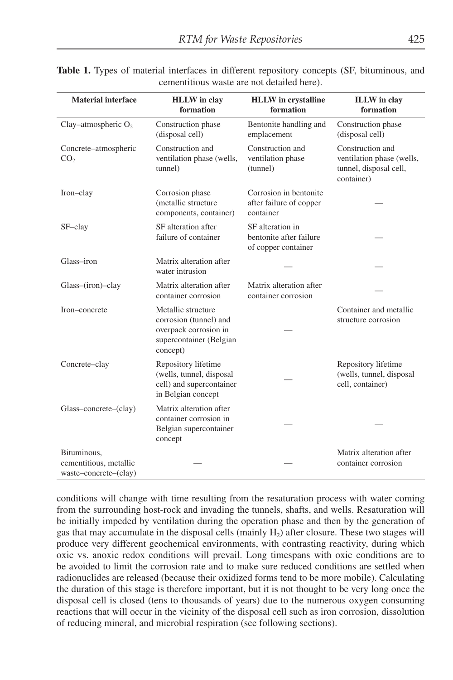| <b>Material interface</b>                                      | <b>HLLW</b> in clay<br>formation                                                                             | <b>HLLW</b> in crystalline<br>formation                            | <b>ILLW</b> in clay<br>formation                                                      |
|----------------------------------------------------------------|--------------------------------------------------------------------------------------------------------------|--------------------------------------------------------------------|---------------------------------------------------------------------------------------|
| Clay-atmospheric $O_2$                                         | Construction phase<br>(disposal cell)                                                                        | Bentonite handling and<br>emplacement                              | Construction phase<br>(disposal cell)                                                 |
| Concrete-atmospheric<br>CO <sub>2</sub>                        | Construction and<br>ventilation phase (wells,<br>tunnel)                                                     | Construction and<br>ventilation phase<br>(tunnel)                  | Construction and<br>ventilation phase (wells,<br>tunnel, disposal cell,<br>container) |
| Iron-clay                                                      | Corrosion phase<br>(metallic structure<br>components, container)                                             | Corrosion in bentonite<br>after failure of copper<br>container     |                                                                                       |
| SF-clay                                                        | SF alteration after<br>failure of container                                                                  | SF alteration in<br>bentonite after failure<br>of copper container |                                                                                       |
| Glass-iron                                                     | Matrix alteration after<br>water intrusion                                                                   |                                                                    |                                                                                       |
| Glass-(iron)-clay                                              | Matrix alteration after<br>container corrosion                                                               | Matrix alteration after<br>container corrosion                     |                                                                                       |
| Iron-concrete                                                  | Metallic structure<br>corrosion (tunnel) and<br>overpack corrosion in<br>supercontainer (Belgian<br>concept) |                                                                    | Container and metallic<br>structure corrosion                                         |
| Concrete-clay                                                  | Repository lifetime<br>(wells, tunnel, disposal<br>cell) and supercontainer<br>in Belgian concept            |                                                                    | Repository lifetime<br>(wells, tunnel, disposal<br>cell, container)                   |
| Glass-concrete-(clay)                                          | Matrix alteration after<br>container corrosion in<br>Belgian supercontainer<br>concept                       |                                                                    |                                                                                       |
| Bituminous,<br>cementitious, metallic<br>waste-concrete-(clay) |                                                                                                              |                                                                    | Matrix alteration after<br>container corrosion                                        |

**Table 1.** Types of material interfaces in different repository concepts (SF, bituminous, and cementitious waste are not detailed here).

conditions will change with time resulting from the resaturation process with water coming from the surrounding host-rock and invading the tunnels, shafts, and wells. Resaturation will be initially impeded by ventilation during the operation phase and then by the generation of gas that may accumulate in the disposal cells (mainly  $H_2$ ) after closure. These two stages will produce very different geochemical environments, with contrasting reactivity, during which oxic vs. anoxic redox conditions will prevail. Long timespans with oxic conditions are to be avoided to limit the corrosion rate and to make sure reduced conditions are settled when radionuclides are released (because their oxidized forms tend to be more mobile). Calculating the duration of this stage is therefore important, but it is not thought to be very long once the disposal cell is closed (tens to thousands of years) due to the numerous oxygen consuming reactions that will occur in the vicinity of the disposal cell such as iron corrosion, dissolution of reducing mineral, and microbial respiration (see following sections).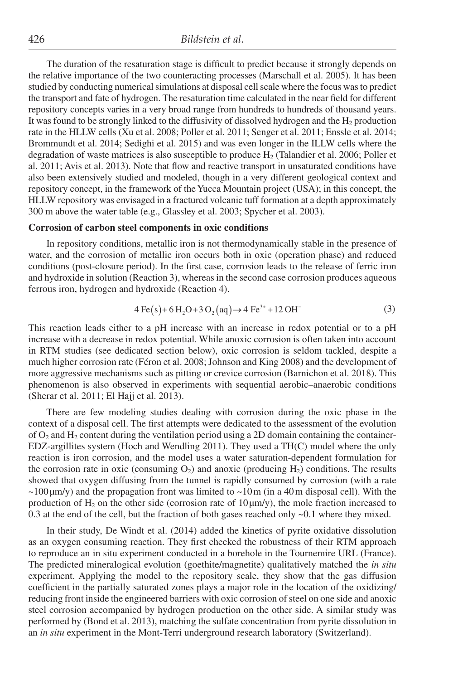The duration of the resaturation stage is difficult to predict because it strongly depends on the relative importance of the two counteracting processes (Marschall et al. 2005). It has been studied by conducting numerical simulations at disposal cell scale where the focus was to predict the transport and fate of hydrogen. The resaturation time calculated in the near field for different repository concepts varies in a very broad range from hundreds to hundreds of thousand years. It was found to be strongly linked to the diffusivity of dissolved hydrogen and the  $H_2$  production rate in the HLLW cells (Xu et al. 2008; Poller et al. 2011; Senger et al. 2011; Enssle et al. 2014; Brommundt et al. 2014; Sedighi et al. 2015) and was even longer in the ILLW cells where the degradation of waste matrices is also susceptible to produce  $H<sub>2</sub>$  (Talandier et al. 2006; Poller et al. 2011; Avis et al. 2013). Note that flow and reactive transport in unsaturated conditions have also been extensively studied and modeled, though in a very different geological context and repository concept, in the framework of the Yucca Mountain project (USA); in this concept, the HLLW repository was envisaged in a fractured volcanic tuff formation at a depth approximately 300 m above the water table (e.g., Glassley et al. 2003; Spycher et al. 2003).

#### **Corrosion of carbon steel components in oxic conditions**

In repository conditions, metallic iron is not thermodynamically stable in the presence of water, and the corrosion of metallic iron occurs both in oxic (operation phase) and reduced conditions (post-closure period). In the first case, corrosion leads to the release of ferric iron and hydroxide in solution (Reaction 3), whereas in the second case corrosion produces aqueous ferrous iron, hydrogen and hydroxide (Reaction 4).

$$
4 \text{Fe}(s) + 6 \text{H}_2\text{O} + 3 \text{O}_2(aq) \rightarrow 4 \text{Fe}^{3+} + 12 \text{OH}^{-}
$$
 (3)

This reaction leads either to a pH increase with an increase in redox potential or to a pH increase with a decrease in redox potential. While anoxic corrosion is often taken into account in RTM studies (see dedicated section below), oxic corrosion is seldom tackled, despite a much higher corrosion rate (Féron et al. 2008; Johnson and King 2008) and the development of more aggressive mechanisms such as pitting or crevice corrosion (Barnichon et al. 2018). This phenomenon is also observed in experiments with sequential aerobic–anaerobic conditions (Sherar et al. 2011; El Hajj et al. 2013).

There are few modeling studies dealing with corrosion during the oxic phase in the context of a disposal cell. The first attempts were dedicated to the assessment of the evolution of  $O_2$  and  $H_2$  content during the ventilation period using a 2D domain containing the container-EDZ-argillites system (Hoch and Wendling 2011). They used a TH(C) model where the only reaction is iron corrosion, and the model uses a water saturation-dependent formulation for the corrosion rate in oxic (consuming  $O_2$ ) and anoxic (producing  $H_2$ ) conditions. The results showed that oxygen diffusing from the tunnel is rapidly consumed by corrosion (with a rate  $\sim$ 100  $\mu$ m/y) and the propagation front was limited to  $\sim$ 10m (in a 40m disposal cell). With the production of  $H_2$  on the other side (corrosion rate of 10 $\mu$ m/y), the mole fraction increased to 0.3 at the end of the cell, but the fraction of both gases reached only  $\sim$ 0.1 where they mixed.

In their study, De Windt et al. (2014) added the kinetics of pyrite oxidative dissolution as an oxygen consuming reaction. They first checked the robustness of their RTM approach to reproduce an in situ experiment conducted in a borehole in the Tournemire URL (France). The predicted mineralogical evolution (goethite/magnetite) qualitatively matched the *in situ* experiment. Applying the model to the repository scale, they show that the gas diffusion coefficient in the partially saturated zones plays a major role in the location of the oxidizing/ reducing front inside the engineered barriers with oxic corrosion of steel on one side and anoxic steel corrosion accompanied by hydrogen production on the other side. A similar study was performed by (Bond et al. 2013), matching the sulfate concentration from pyrite dissolution in an *in situ* experiment in the Mont-Terri underground research laboratory (Switzerland).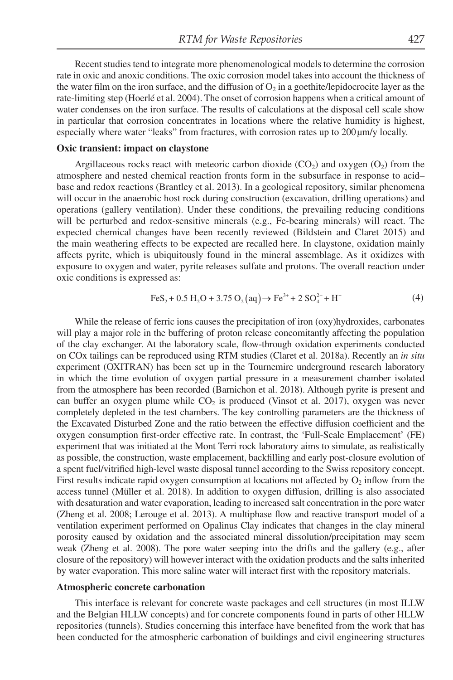Recent studies tend to integrate more phenomenological models to determine the corrosion rate in oxic and anoxic conditions. The oxic corrosion model takes into account the thickness of the water film on the iron surface, and the diffusion of  $O<sub>2</sub>$  in a goethite/lepidocrocite layer as the rate-limiting step (Hoerlé et al. 2004). The onset of corrosion happens when a critical amount of water condenses on the iron surface. The results of calculations at the disposal cell scale show in particular that corrosion concentrates in locations where the relative humidity is highest, especially where water "leaks" from fractures, with corrosion rates up to 200µm/y locally.

#### **Oxic transient: impact on claystone**

Argillaceous rocks react with meteoric carbon dioxide  $(CO<sub>2</sub>)$  and oxygen  $(O<sub>2</sub>)$  from the atmosphere and nested chemical reaction fronts form in the subsurface in response to acid– base and redox reactions (Brantley et al. 2013). In a geological repository, similar phenomena will occur in the anaerobic host rock during construction (excavation, drilling operations) and operations (gallery ventilation). Under these conditions, the prevailing reducing conditions will be perturbed and redox-sensitive minerals (e.g., Fe-bearing minerals) will react. The expected chemical changes have been recently reviewed (Bildstein and Claret 2015) and the main weathering effects to be expected are recalled here. In claystone, oxidation mainly affects pyrite, which is ubiquitously found in the mineral assemblage. As it oxidizes with exposure to oxygen and water, pyrite releases sulfate and protons. The overall reaction under oxic conditions is expressed as:

$$
\text{FeS}_2 + 0.5 \text{ H}_2\text{O} + 3.75 \text{ O}_2\text{(aq)} \rightarrow \text{Fe}^{3+} + 2 \text{ SO}_4^{2-} + \text{H}^+ \tag{4}
$$

While the release of ferric ions causes the precipitation of iron (oxy)hydroxides, carbonates will play a major role in the buffering of proton release concomitantly affecting the population of the clay exchanger. At the laboratory scale, flow-through oxidation experiments conducted on COx tailings can be reproduced using RTM studies (Claret et al. 2018a). Recently an *in situ* experiment (OXITRAN) has been set up in the Tournemire underground research laboratory in which the time evolution of oxygen partial pressure in a measurement chamber isolated from the atmosphere has been recorded (Barnichon et al. 2018). Although pyrite is present and can buffer an oxygen plume while  $CO<sub>2</sub>$  is produced (Vinsot et al. 2017), oxygen was never completely depleted in the test chambers. The key controlling parameters are the thickness of the Excavated Disturbed Zone and the ratio between the effective diffusion coefficient and the oxygen consumption first-order effective rate. In contrast, the 'Full-Scale Emplacement' (FE) experiment that was initiated at the Mont Terri rock laboratory aims to simulate, as realistically as possible, the construction, waste emplacement, backfilling and early post-closure evolution of a spent fuel/vitrified high-level waste disposal tunnel according to the Swiss repository concept. First results indicate rapid oxygen consumption at locations not affected by  $O_2$  inflow from the access tunnel (Müller et al. 2018). In addition to oxygen diffusion, drilling is also associated with desaturation and water evaporation, leading to increased salt concentration in the pore water (Zheng et al. 2008; Lerouge et al. 2013). A multiphase flow and reactive transport model of a ventilation experiment performed on Opalinus Clay indicates that changes in the clay mineral porosity caused by oxidation and the associated mineral dissolution/precipitation may seem weak (Zheng et al. 2008). The pore water seeping into the drifts and the gallery (e.g., after closure of the repository) will however interact with the oxidation products and the salts inherited by water evaporation. This more saline water will interact first with the repository materials.

#### **Atmospheric concrete carbonation**

This interface is relevant for concrete waste packages and cell structures (in most ILLW and the Belgian HLLW concepts) and for concrete components found in parts of other HLLW repositories (tunnels). Studies concerning this interface have benefited from the work that has been conducted for the atmospheric carbonation of buildings and civil engineering structures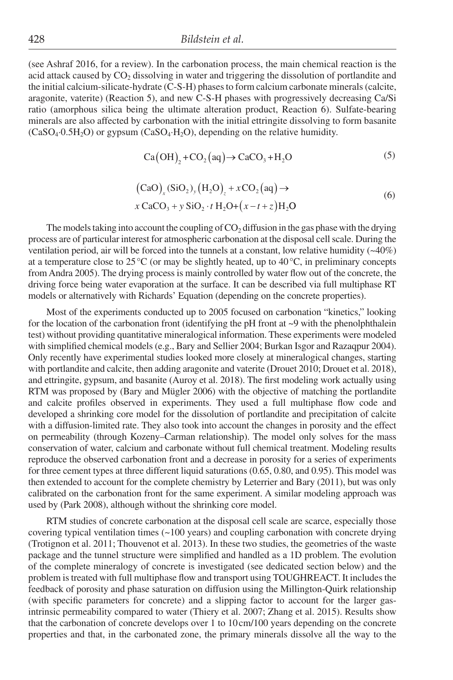(see Ashraf 2016, for a review). In the carbonation process, the main chemical reaction is the acid attack caused by  $CO<sub>2</sub>$  dissolving in water and triggering the dissolution of portlandite and the initial calcium-silicate-hydrate (C-S-H) phases to form calcium carbonate minerals (calcite, aragonite, vaterite) (Reaction 5), and new C-S-H phases with progressively decreasing Ca/Si ratio (amorphous silica being the ultimate alteration product, Reaction 6). Sulfate-bearing minerals are also affected by carbonation with the initial ettringite dissolving to form basanite  $(CaSO_4.0.5H_2O)$  or gypsum  $(CaSO_4·H_2O)$ , depending on the relative humidity.

$$
\text{Ca(OH)}_{2} + \text{CO}_{2}\text{(aq)} \rightarrow \text{CaCO}_{3} + \text{H}_{2}\text{O}
$$
 (5)

$$
(\text{CaO})_x(\text{SiO}_2)_y(\text{H}_2\text{O})_z + x\text{CO}_2(\text{aq}) \rightarrow
$$
  

$$
x \text{CaCO}_3 + y \text{SiO}_2 \cdot t \text{H}_2\text{O} + (x - t + z)\text{H}_2\text{O}
$$
 (6)

The models taking into account the coupling of  $CO<sub>2</sub>$  diffusion in the gas phase with the drying process are of particular interest for atmospheric carbonation at the disposal cell scale. During the ventilation period, air will be forced into the tunnels at a constant, low relative humidity  $(\sim 40\%)$ at a temperature close to 25 °C (or may be slightly heated, up to 40 °C, in preliminary concepts from Andra 2005). The drying process is mainly controlled by water flow out of the concrete, the driving force being water evaporation at the surface. It can be described via full multiphase RT models or alternatively with Richards' Equation (depending on the concrete properties).

Most of the experiments conducted up to 2005 focused on carbonation "kinetics," looking for the location of the carbonation front (identifying the pH front at  $\sim$ 9 with the phenolphthalein test) without providing quantitative mineralogical information. These experiments were modeled with simplified chemical models (e.g., Bary and Sellier 2004; Burkan Isgor and Razaqpur 2004). Only recently have experimental studies looked more closely at mineralogical changes, starting with portlandite and calcite, then adding aragonite and vaterite (Drouet 2010; Drouet et al. 2018), and ettringite, gypsum, and basanite (Auroy et al. 2018). The first modeling work actually using RTM was proposed by (Bary and Mügler 2006) with the objective of matching the portlandite and calcite profiles observed in experiments. They used a full multiphase flow code and developed a shrinking core model for the dissolution of portlandite and precipitation of calcite with a diffusion-limited rate. They also took into account the changes in porosity and the effect on permeability (through Kozeny–Carman relationship). The model only solves for the mass conservation of water, calcium and carbonate without full chemical treatment. Modeling results reproduce the observed carbonation front and a decrease in porosity for a series of experiments for three cement types at three different liquid saturations (0.65, 0.80, and 0.95). This model was then extended to account for the complete chemistry by Leterrier and Bary (2011), but was only calibrated on the carbonation front for the same experiment. A similar modeling approach was used by (Park 2008), although without the shrinking core model.

RTM studies of concrete carbonation at the disposal cell scale are scarce, especially those covering typical ventilation times  $(\sim 100 \text{ years})$  and coupling carbonation with concrete drying (Trotignon et al. 2011; Thouvenot et al. 2013). In these two studies, the geometries of the waste package and the tunnel structure were simplified and handled as a 1D problem. The evolution of the complete mineralogy of concrete is investigated (see dedicated section below) and the problem is treated with full multiphase flow and transport using TOUGHREACT. It includes the feedback of porosity and phase saturation on diffusion using the Millington-Quirk relationship (with specific parameters for concrete) and a slipping factor to account for the larger gasintrinsic permeability compared to water (Thiery et al. 2007; Zhang et al. 2015). Results show that the carbonation of concrete develops over 1 to 10cm/100 years depending on the concrete properties and that, in the carbonated zone, the primary minerals dissolve all the way to the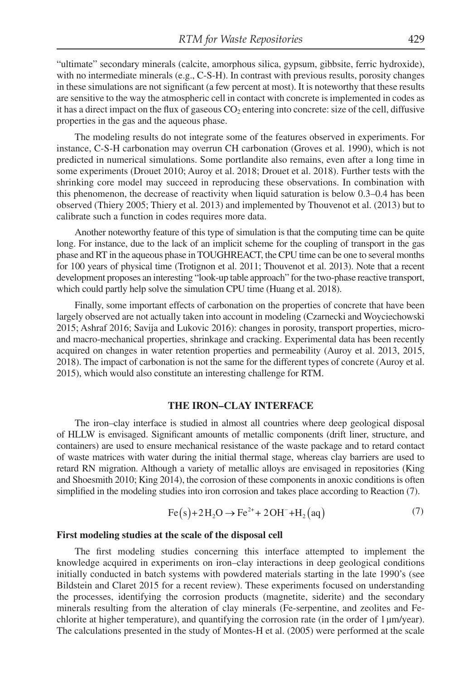"ultimate" secondary minerals (calcite, amorphous silica, gypsum, gibbsite, ferric hydroxide), with no intermediate minerals (e.g., C-S-H). In contrast with previous results, porosity changes in these simulations are not significant (a few percent at most). It is noteworthy that these results are sensitive to the way the atmospheric cell in contact with concrete is implemented in codes as it has a direct impact on the flux of gaseous  $CO<sub>2</sub>$  entering into concrete: size of the cell, diffusive properties in the gas and the aqueous phase.

The modeling results do not integrate some of the features observed in experiments. For instance, C-S-H carbonation may overrun CH carbonation (Groves et al. 1990), which is not predicted in numerical simulations. Some portlandite also remains, even after a long time in some experiments (Drouet 2010; Auroy et al. 2018; Drouet et al. 2018). Further tests with the shrinking core model may succeed in reproducing these observations. In combination with this phenomenon, the decrease of reactivity when liquid saturation is below 0.3–0.4 has been observed (Thiery 2005; Thiery et al. 2013) and implemented by Thouvenot et al. (2013) but to calibrate such a function in codes requires more data.

Another noteworthy feature of this type of simulation is that the computing time can be quite long. For instance, due to the lack of an implicit scheme for the coupling of transport in the gas phase and RT in the aqueous phase in TOUGHREACT, the CPU time can be one to several months for 100 years of physical time (Trotignon et al. 2011; Thouvenot et al. 2013). Note that a recent development proposes an interesting "look-up table approach" for the two-phase reactive transport, which could partly help solve the simulation CPU time (Huang et al. 2018).

Finally, some important effects of carbonation on the properties of concrete that have been largely observed are not actually taken into account in modeling (Czarnecki and Woyciechowski 2015; Ashraf 2016; Savija and Lukovic 2016): changes in porosity, transport properties, microand macro-mechanical properties, shrinkage and cracking. Experimental data has been recently acquired on changes in water retention properties and permeability (Auroy et al. 2013, 2015, 2018). The impact of carbonation is not the same for the different types of concrete (Auroy et al. 2015), which would also constitute an interesting challenge for RTM.

#### **THE IRON–CLAY INTERFACE**

The iron–clay interface is studied in almost all countries where deep geological disposal of HLLW is envisaged. Significant amounts of metallic components (drift liner, structure, and containers) are used to ensure mechanical resistance of the waste package and to retard contact of waste matrices with water during the initial thermal stage, whereas clay barriers are used to retard RN migration. Although a variety of metallic alloys are envisaged in repositories (King and Shoesmith 2010; King 2014), the corrosion of these components in anoxic conditions is often simplified in the modeling studies into iron corrosion and takes place according to Reaction (7).

$$
Fe(s) + 2H_2O \to Fe^{2+} + 2OH^- + H_2(aq)
$$
 (7)

#### **First modeling studies at the scale of the disposal cell**

The first modeling studies concerning this interface attempted to implement the knowledge acquired in experiments on iron–clay interactions in deep geological conditions initially conducted in batch systems with powdered materials starting in the late 1990's (see Bildstein and Claret 2015 for a recent review). These experiments focused on understanding the processes, identifying the corrosion products (magnetite, siderite) and the secondary minerals resulting from the alteration of clay minerals (Fe-serpentine, and zeolites and Fechlorite at higher temperature), and quantifying the corrosion rate (in the order of 1µm/year). The calculations presented in the study of Montes-H et al. (2005) were performed at the scale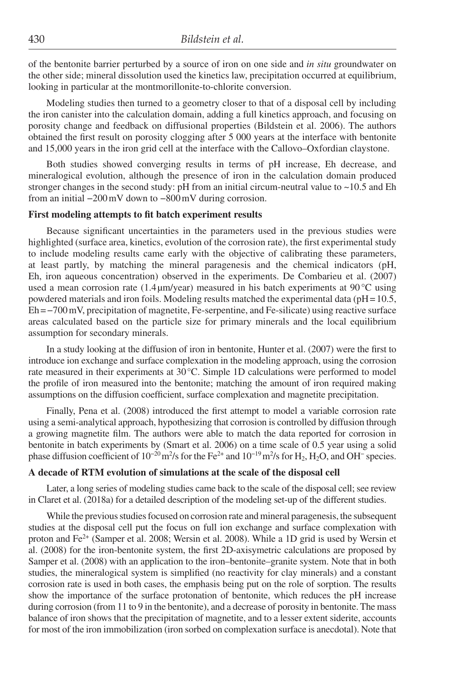of the bentonite barrier perturbed by a source of iron on one side and *in situ* groundwater on the other side; mineral dissolution used the kinetics law, precipitation occurred at equilibrium, looking in particular at the montmorillonite-to-chlorite conversion.

Modeling studies then turned to a geometry closer to that of a disposal cell by including the iron canister into the calculation domain, adding a full kinetics approach, and focusing on porosity change and feedback on diffusional properties (Bildstein et al. 2006). The authors obtained the first result on porosity clogging after 5 000 years at the interface with bentonite and 15,000 years in the iron grid cell at the interface with the Callovo–Oxfordian claystone.

Both studies showed converging results in terms of pH increase, Eh decrease, and mineralogical evolution, although the presence of iron in the calculation domain produced stronger changes in the second study: pH from an initial circum-neutral value to  $\sim$ 10.5 and Eh from an initial −200mV down to −800mV during corrosion.

# **First modeling attempts to fit batch experiment results**

Because significant uncertainties in the parameters used in the previous studies were highlighted (surface area, kinetics, evolution of the corrosion rate), the first experimental study to include modeling results came early with the objective of calibrating these parameters, at least partly, by matching the mineral paragenesis and the chemical indicators (pH, Eh, iron aqueous concentration) observed in the experiments. De Combarieu et al. (2007) used a mean corrosion rate (1.4 $\mu$ m/year) measured in his batch experiments at 90 $^{\circ}$ C using powdered materials and iron foils. Modeling results matched the experimental data (pH=10.5, Eh=−700mV, precipitation of magnetite, Fe-serpentine, and Fe-silicate) using reactive surface areas calculated based on the particle size for primary minerals and the local equilibrium assumption for secondary minerals.

In a study looking at the diffusion of iron in bentonite, Hunter et al. (2007) were the first to introduce ion exchange and surface complexation in the modeling approach, using the corrosion rate measured in their experiments at 30°C. Simple 1D calculations were performed to model the profile of iron measured into the bentonite; matching the amount of iron required making assumptions on the diffusion coefficient, surface complexation and magnetite precipitation.

Finally, Pena et al. (2008) introduced the first attempt to model a variable corrosion rate using a semi-analytical approach, hypothesizing that corrosion is controlled by diffusion through a growing magnetite film. The authors were able to match the data reported for corrosion in bentonite in batch experiments by (Smart et al. 2006) on a time scale of 0.5 year using a solid phase diffusion coefficient of  $10^{-20}$  m<sup>2</sup>/s for the Fe<sup>2+</sup> and  $10^{-19}$  m<sup>2</sup>/s for H<sub>2</sub>, H<sub>2</sub>O, and OH<sup>-</sup> species.

# **A decade of RTM evolution of simulations at the scale of the disposal cell**

Later, a long series of modeling studies came back to the scale of the disposal cell; see review in Claret et al. (2018a) for a detailed description of the modeling set-up of the different studies.

While the previous studies focused on corrosion rate and mineral paragenesis, the subsequent studies at the disposal cell put the focus on full ion exchange and surface complexation with proton and Fe<sup>2+</sup> (Samper et al. 2008; Wersin et al. 2008). While a 1D grid is used by Wersin et al. (2008) for the iron-bentonite system, the first 2D-axisymetric calculations are proposed by Samper et al. (2008) with an application to the iron–bentonite–granite system. Note that in both studies, the mineralogical system is simplified (no reactivity for clay minerals) and a constant corrosion rate is used in both cases, the emphasis being put on the role of sorption. The results show the importance of the surface protonation of bentonite, which reduces the pH increase during corrosion (from 11 to 9 in the bentonite), and a decrease of porosity in bentonite. The mass balance of iron shows that the precipitation of magnetite, and to a lesser extent siderite, accounts for most of the iron immobilization (iron sorbed on complexation surface is anecdotal). Note that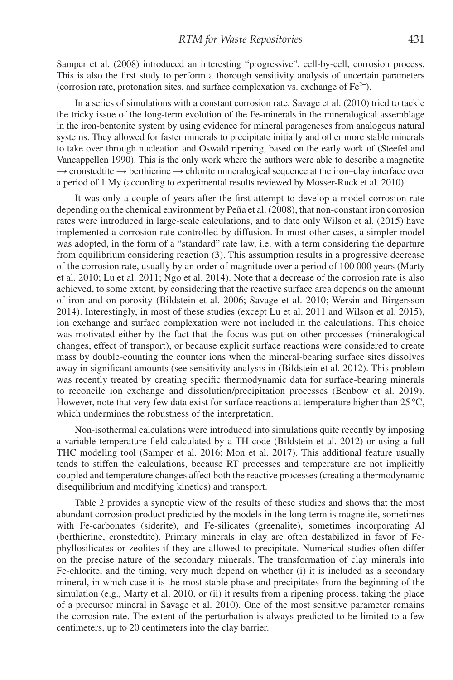Samper et al. (2008) introduced an interesting "progressive", cell-by-cell, corrosion process. This is also the first study to perform a thorough sensitivity analysis of uncertain parameters (corrosion rate, protonation sites, and surface complexation vs. exchange of  $Fe^{2+}$ ).

In a series of simulations with a constant corrosion rate, Savage et al. (2010) tried to tackle the tricky issue of the long-term evolution of the Fe-minerals in the mineralogical assemblage in the iron-bentonite system by using evidence for mineral parageneses from analogous natural systems. They allowed for faster minerals to precipitate initially and other more stable minerals to take over through nucleation and Oswald ripening, based on the early work of (Steefel and Vancappellen 1990). This is the only work where the authors were able to describe a magnetite  $\rightarrow$  cronstedtite  $\rightarrow$  berthierine  $\rightarrow$  chlorite mineralogical sequence at the iron–clay interface over a period of 1 My (according to experimental results reviewed by Mosser-Ruck et al. 2010).

It was only a couple of years after the first attempt to develop a model corrosion rate depending on the chemical environment by Peña et al. (2008), that non-constant iron corrosion rates were introduced in large-scale calculations, and to date only Wilson et al. (2015) have implemented a corrosion rate controlled by diffusion. In most other cases, a simpler model was adopted, in the form of a "standard" rate law, i.e. with a term considering the departure from equilibrium considering reaction (3). This assumption results in a progressive decrease of the corrosion rate, usually by an order of magnitude over a period of 100 000 years (Marty et al. 2010; Lu et al. 2011; Ngo et al. 2014). Note that a decrease of the corrosion rate is also achieved, to some extent, by considering that the reactive surface area depends on the amount of iron and on porosity (Bildstein et al. 2006; Savage et al. 2010; Wersin and Birgersson 2014). Interestingly, in most of these studies (except Lu et al. 2011 and Wilson et al. 2015), ion exchange and surface complexation were not included in the calculations. This choice was motivated either by the fact that the focus was put on other processes (mineralogical changes, effect of transport), or because explicit surface reactions were considered to create mass by double-counting the counter ions when the mineral-bearing surface sites dissolves away in significant amounts (see sensitivity analysis in (Bildstein et al. 2012). This problem was recently treated by creating specific thermodynamic data for surface-bearing minerals to reconcile ion exchange and dissolution/precipitation processes (Benbow et al. 2019). However, note that very few data exist for surface reactions at temperature higher than  $25^{\circ}$ C, which undermines the robustness of the interpretation.

Non-isothermal calculations were introduced into simulations quite recently by imposing a variable temperature field calculated by a TH code (Bildstein et al. 2012) or using a full THC modeling tool (Samper et al. 2016; Mon et al. 2017). This additional feature usually tends to stiffen the calculations, because RT processes and temperature are not implicitly coupled and temperature changes affect both the reactive processes (creating a thermodynamic disequilibrium and modifying kinetics) and transport.

Table 2 provides a synoptic view of the results of these studies and shows that the most abundant corrosion product predicted by the models in the long term is magnetite, sometimes with Fe-carbonates (siderite), and Fe-silicates (greenalite), sometimes incorporating Al (berthierine, cronstedtite). Primary minerals in clay are often destabilized in favor of Fephyllosilicates or zeolites if they are allowed to precipitate. Numerical studies often differ on the precise nature of the secondary minerals. The transformation of clay minerals into Fe-chlorite, and the timing, very much depend on whether (i) it is included as a secondary mineral, in which case it is the most stable phase and precipitates from the beginning of the simulation (e.g., Marty et al. 2010, or (ii) it results from a ripening process, taking the place of a precursor mineral in Savage et al. 2010). One of the most sensitive parameter remains the corrosion rate. The extent of the perturbation is always predicted to be limited to a few centimeters, up to 20 centimeters into the clay barrier.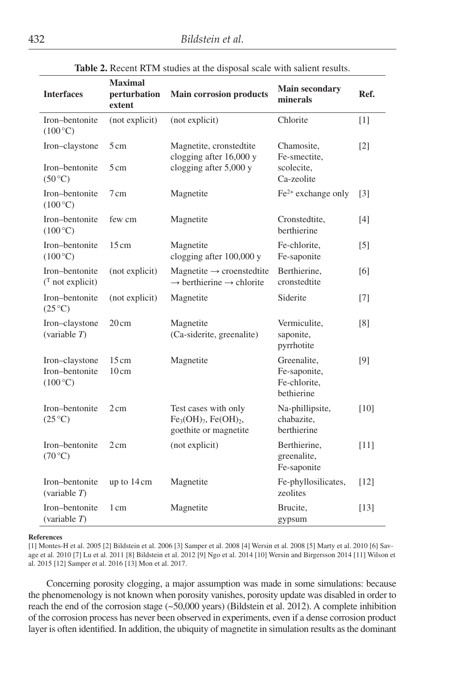| <b>Interfaces</b>                                    | <b>Maximal</b><br>perturbation<br>extent | <b>Main corrosion products</b>                                                      | <b>Main secondary</b><br>minerals                         | Ref.              |
|------------------------------------------------------|------------------------------------------|-------------------------------------------------------------------------------------|-----------------------------------------------------------|-------------------|
| Iron-bentonite<br>$(100^{\circ}C)$                   | (not explicit)                           | (not explicit)                                                                      | Chlorite                                                  | $[1]$             |
| Iron-claystone                                       | $5 \text{ cm}$                           | Magnetite, cronstedtite<br>clogging after 16,000 y                                  | Chamosite,<br>Fe-smectite,                                | $\lceil 2 \rceil$ |
| Iron-bentonite<br>$(50^{\circ}C)$                    | $5 \text{ cm}$                           | clogging after 5,000 y                                                              | scolecite,<br>Ca-zeolite                                  |                   |
| Iron-bentonite<br>$(100^{\circ}C)$                   | 7 cm                                     | Magnetite                                                                           | $Fe2+$ exchange only                                      | $\lceil 3 \rceil$ |
| Iron-bentonite<br>$(100^{\circ}C)$                   | few cm                                   | Magnetite                                                                           | Cronstedtite,<br>berthierine                              | [4]               |
| Iron-bentonite<br>$(100^{\circ}C)$                   | 15cm                                     | Magnetite<br>clogging after 100,000 y                                               | Fe-chlorite,<br>Fe-saponite                               | $\lceil 5 \rceil$ |
| Iron-bentonite<br>$(T$ not explicit)                 | (not explicit)                           | $Magnetic \rightarrow \text{c}$<br>$\rightarrow$ berthierine $\rightarrow$ chlorite | Berthierine,<br>cronstedtite                              | [6]               |
| Iron-bentonite<br>$(25^{\circ}C)$                    | (not explicit)                           | Magnetite                                                                           | Siderite                                                  | [7]               |
| Iron-claystone<br>(variable $T$ )                    | $20 \text{cm}$                           | Magnetite<br>(Ca-siderite, greenalite)                                              | Vermiculite,<br>saponite,<br>pyrrhotite                   | [8]               |
| Iron-claystone<br>Iron-bentonite<br>$(100^{\circ}C)$ | $15 \text{ cm}$<br>10cm                  | Magnetite                                                                           | Greenalite,<br>Fe-saponite,<br>Fe-chlorite,<br>bethierine | [9]               |
| Iron-bentonite<br>$(25^{\circ}C)$                    | $2 \text{ cm}$                           | Test cases with only<br>$Fe3(OH)7$ , $Fe(OH)2$ ,<br>goethite or magnetite           | Na-phillipsite,<br>chabazite,<br>berthierine              | [10]              |
| Iron-bentonite<br>$(70^{\circ}C)$                    | $2 \text{ cm}$                           | (not explicit)                                                                      | Berthierine,<br>greenalite,<br>Fe-saponite                | $[11]$            |
| Iron-bentonite<br>(variable T)                       | up to 14cm                               | Magnetite                                                                           | Fe-phyllosilicates,<br>zeolites                           | [12]              |
| Iron-bentonite<br>(variable $T$ )                    | 1 cm                                     | Magnetite                                                                           | Brucite,<br>gypsum                                        | [13]              |

**Table 2.** Recent RTM studies at the disposal scale with salient results.

#### **References**

[1] Montes-H et al. 2005 [2] Bildstein et al. 2006 [3] Samper et al. 2008 [4] Wersin et al. 2008 [5] Marty et al. 2010 [6] Savage et al. 2010 [7] Lu et al. 2011 [8] Bildstein et al. 2012 [9] Ngo et al. 2014 [10] Wersin and Birgersson 2014 [11] Wilson et al. 2015 [12] Samper et al. 2016 [13] Mon et al. 2017.

Concerning porosity clogging, a major assumption was made in some simulations: because the phenomenology is not known when porosity vanishes, porosity update was disabled in order to reach the end of the corrosion stage (~50,000 years) (Bildstein et al. 2012). A complete inhibition of the corrosion process has never been observed in experiments, even if a dense corrosion product layer is often identified. In addition, the ubiquity of magnetite in simulation results as the dominant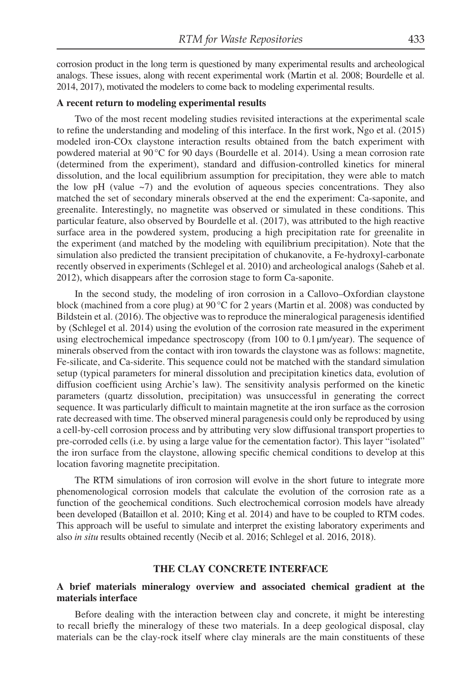corrosion product in the long term is questioned by many experimental results and archeological analogs. These issues, along with recent experimental work (Martin et al. 2008; Bourdelle et al. 2014, 2017), motivated the modelers to come back to modeling experimental results.

#### **A recent return to modeling experimental results**

Two of the most recent modeling studies revisited interactions at the experimental scale to refine the understanding and modeling of this interface. In the first work, Ngo et al. (2015) modeled iron-COx claystone interaction results obtained from the batch experiment with powdered material at 90°C for 90 days (Bourdelle et al. 2014). Using a mean corrosion rate (determined from the experiment), standard and diffusion-controlled kinetics for mineral dissolution, and the local equilibrium assumption for precipitation, they were able to match the low pH (value  $\sim$ 7) and the evolution of aqueous species concentrations. They also matched the set of secondary minerals observed at the end the experiment: Ca-saponite, and greenalite. Interestingly, no magnetite was observed or simulated in these conditions. This particular feature, also observed by Bourdelle et al. (2017), was attributed to the high reactive surface area in the powdered system, producing a high precipitation rate for greenalite in the experiment (and matched by the modeling with equilibrium precipitation). Note that the simulation also predicted the transient precipitation of chukanovite, a Fe-hydroxyl-carbonate recently observed in experiments (Schlegel et al. 2010) and archeological analogs (Saheb et al. 2012), which disappears after the corrosion stage to form Ca-saponite.

In the second study, the modeling of iron corrosion in a Callovo–Oxfordian claystone block (machined from a core plug) at 90°C for 2 years (Martin et al. 2008) was conducted by Bildstein et al. (2016). The objective was to reproduce the mineralogical paragenesis identified by (Schlegel et al. 2014) using the evolution of the corrosion rate measured in the experiment using electrochemical impedance spectroscopy (from 100 to 0.1µm/year). The sequence of minerals observed from the contact with iron towards the claystone was as follows: magnetite, Fe-silicate, and Ca-siderite. This sequence could not be matched with the standard simulation setup (typical parameters for mineral dissolution and precipitation kinetics data, evolution of diffusion coefficient using Archie's law). The sensitivity analysis performed on the kinetic parameters (quartz dissolution, precipitation) was unsuccessful in generating the correct sequence. It was particularly difficult to maintain magnetite at the iron surface as the corrosion rate decreased with time. The observed mineral paragenesis could only be reproduced by using a cell-by-cell corrosion process and by attributing very slow diffusional transport properties to pre-corroded cells (i.e. by using a large value for the cementation factor). This layer "isolated" the iron surface from the claystone, allowing specific chemical conditions to develop at this location favoring magnetite precipitation.

The RTM simulations of iron corrosion will evolve in the short future to integrate more phenomenological corrosion models that calculate the evolution of the corrosion rate as a function of the geochemical conditions. Such electrochemical corrosion models have already been developed (Bataillon et al. 2010; King et al. 2014) and have to be coupled to RTM codes. This approach will be useful to simulate and interpret the existing laboratory experiments and also *in situ* results obtained recently (Necib et al. 2016; Schlegel et al. 2016, 2018).

#### **THE CLAY CONCRETE INTERFACE**

# **A brief materials mineralogy overview and associated chemical gradient at the materials interface**

Before dealing with the interaction between clay and concrete, it might be interesting to recall briefly the mineralogy of these two materials. In a deep geological disposal, clay materials can be the clay-rock itself where clay minerals are the main constituents of these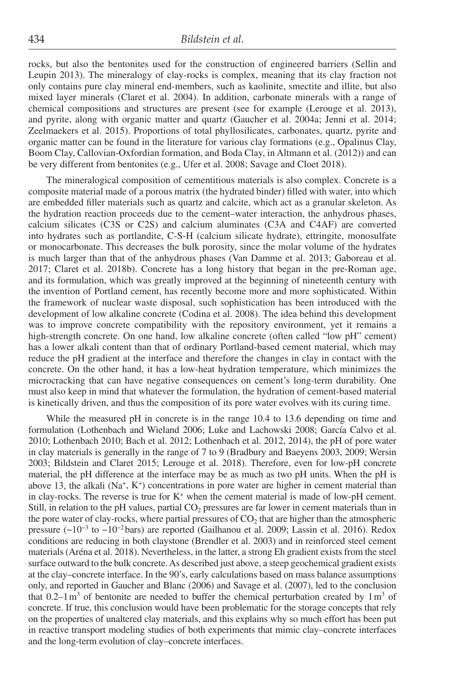rocks, but also the bentonites used for the construction of engineered barriers (Sellin and Leupin 2013). The mineralogy of clay-rocks is complex, meaning that its clay fraction not only contains pure clay mineral end-members, such as kaolinite, smectite and illite, but also mixed layer minerals (Claret et al. 2004). In addition, carbonate minerals with a range of chemical compositions and structures are present (see for example (Lerouge et al. 2013), and pyrite, along with organic matter and quartz (Gaucher et al. 2004a; Jenni et al. 2014; Zeelmaekers et al. 2015). Proportions of total phyllosilicates, carbonates, quartz, pyrite and organic matter can be found in the literature for various clay formations (e.g., Opalinus Clay, Boom Clay, Callovian-Oxfordian formation, and Boda Clay, in Altmann et al. (2012)) and can be very different from bentonites (e.g., Ufer et al. 2008; Savage and Cloet 2018).

The mineralogical composition of cementitious materials is also complex. Concrete is a composite material made of a porous matrix (the hydrated binder) filled with water, into which are embedded filler materials such as quartz and calcite, which act as a granular skeleton. As the hydration reaction proceeds due to the cement–water interaction, the anhydrous phases, calcium silicates (C3S or C2S) and calcium aluminates (C3A and C4AF) are converted into hydrates such as portlandite, C-S-H (calcium silicate hydrate), ettringite, monosulfate or monocarbonate. This decreases the bulk porosity, since the molar volume of the hydrates is much larger than that of the anhydrous phases (Van Damme et al. 2013; Gaboreau et al. 2017; Claret et al. 2018b). Concrete has a long history that began in the pre-Roman age, and its formulation, which was greatly improved at the beginning of nineteenth century with the invention of Portland cement, has recently become more and more sophisticated. Within the framework of nuclear waste disposal, such sophistication has been introduced with the development of low alkaline concrete (Codina et al. 2008). The idea behind this development was to improve concrete compatibility with the repository environment, yet it remains a high-strength concrete. On one hand, low alkaline concrete (often called "low pH" cement) has a lower alkali content than that of ordinary Portland-based cement material, which may reduce the pH gradient at the interface and therefore the changes in clay in contact with the concrete. On the other hand, it has a low-heat hydration temperature, which minimizes the microcracking that can have negative consequences on cement's long-term durability. One must also keep in mind that whatever the formulation, the hydration of cement-based material is kinetically driven, and thus the composition of its pore water evolves with its curing time.

While the measured pH in concrete is in the range 10.4 to 13.6 depending on time and formulation (Lothenbach and Wieland 2006; Luke and Lachowski 2008; García Calvo et al. 2010; Lothenbach 2010; Bach et al. 2012; Lothenbach et al. 2012, 2014), the pH of pore water in clay materials is generally in the range of 7 to 9 (Bradbury and Baeyens 2003, 2009; Wersin 2003; Bildstein and Claret 2015; Lerouge et al. 2018). Therefore, even for low-pH concrete material, the pH difference at the interface may be as much as two pH units. When the pH is above 13, the alkali  $(Na^+, K^+)$  concentrations in pore water are higher in cement material than in clay-rocks. The reverse is true for  $K^+$  when the cement material is made of low-pH cement. Still, in relation to the pH values, partial  $CO<sub>2</sub>$  pressures are far lower in cement materials than in the pore water of clay-rocks, where partial pressures of  $CO<sub>2</sub>$  that are higher than the atmospheric pressure  $({\sim}10^{-3}$  to  ${\sim}10^{-2}$  bars) are reported (Gailhanou et al. 2009; Lassin et al. 2016). Redox conditions are reducing in both claystone (Brendler et al. 2003) and in reinforced steel cement materials (Aréna et al. 2018). Nevertheless, in the latter, a strong Eh gradient exists from the steel surface outward to the bulk concrete. As described just above, a steep geochemical gradient exists at the clay–concrete interface. In the 90's, early calculations based on mass balance assumptions only, and reported in Gaucher and Blanc (2006) and Savage et al. (2007), led to the conclusion that  $0.2-1 \text{ m}^3$  of bentonite are needed to buffer the chemical perturbation created by  $1 \text{ m}^3$  of concrete. If true, this conclusion would have been problematic for the storage concepts that rely on the properties of unaltered clay materials, and this explains why so much effort has been put in reactive transport modeling studies of both experiments that mimic clay–concrete interfaces and the long-term evolution of clay–concrete interfaces.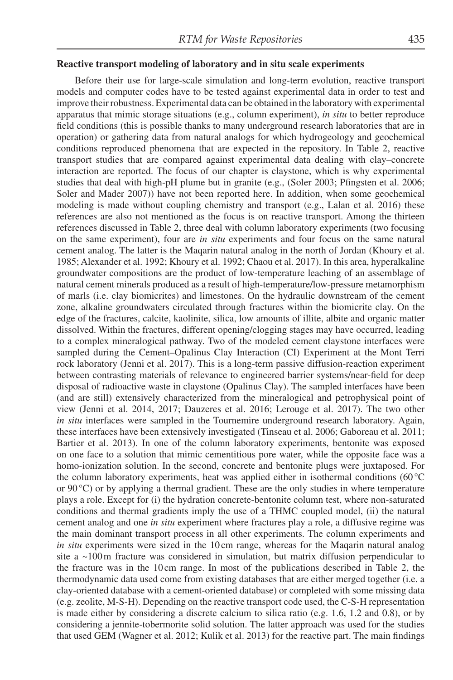Before their use for large-scale simulation and long-term evolution, reactive transport models and computer codes have to be tested against experimental data in order to test and improve their robustness. Experimental data can be obtained in the laboratory with experimental apparatus that mimic storage situations (e.g., column experiment), *in situ* to better reproduce field conditions (this is possible thanks to many underground research laboratories that are in operation) or gathering data from natural analogs for which hydrogeology and geochemical conditions reproduced phenomena that are expected in the repository. In Table 2, reactive transport studies that are compared against experimental data dealing with clay–concrete interaction are reported. The focus of our chapter is claystone, which is why experimental studies that deal with high-pH plume but in granite (e.g., (Soler 2003; Pfingsten et al. 2006; Soler and Mader 2007)) have not been reported here. In addition, when some geochemical modeling is made without coupling chemistry and transport (e.g., Lalan et al. 2016) these references are also not mentioned as the focus is on reactive transport. Among the thirteen references discussed in Table 2, three deal with column laboratory experiments (two focusing on the same experiment), four are *in situ* experiments and four focus on the same natural cement analog. The latter is the Maqarin natural analog in the north of Jordan (Khoury et al. 1985; Alexander et al. 1992; Khoury et al. 1992; Chaou et al. 2017). In this area, hyperalkaline groundwater compositions are the product of low-temperature leaching of an assemblage of natural cement minerals produced as a result of high-temperature/low-pressure metamorphism of marls (i.e. clay biomicrites) and limestones. On the hydraulic downstream of the cement zone, alkaline groundwaters circulated through fractures within the biomicrite clay. On the edge of the fractures, calcite, kaolinite, silica, low amounts of illite, albite and organic matter dissolved. Within the fractures, different opening/clogging stages may have occurred, leading to a complex mineralogical pathway. Two of the modeled cement claystone interfaces were sampled during the Cement–Opalinus Clay Interaction (CI) Experiment at the Mont Terri rock laboratory (Jenni et al. 2017). This is a long-term passive diffusion-reaction experiment between contrasting materials of relevance to engineered barrier systems/near-field for deep disposal of radioactive waste in claystone (Opalinus Clay). The sampled interfaces have been (and are still) extensively characterized from the mineralogical and petrophysical point of view (Jenni et al. 2014, 2017; Dauzeres et al. 2016; Lerouge et al. 2017). The two other *in situ* interfaces were sampled in the Tournemire underground research laboratory. Again, these interfaces have been extensively investigated (Tinseau et al. 2006; Gaboreau et al. 2011; Bartier et al. 2013). In one of the column laboratory experiments, bentonite was exposed on one face to a solution that mimic cementitious pore water, while the opposite face was a homo-ionization solution. In the second, concrete and bentonite plugs were juxtaposed. For the column laboratory experiments, heat was applied either in isothermal conditions (60°C or 90 $\degree$ C) or by applying a thermal gradient. These are the only studies in where temperature plays a role. Except for (i) the hydration concrete-bentonite column test, where non-saturated conditions and thermal gradients imply the use of a THMC coupled model, (ii) the natural cement analog and one *in situ* experiment where fractures play a role, a diffusive regime was the main dominant transport process in all other experiments. The column experiments and *in situ* experiments were sized in the 10 cm range, whereas for the Maqarin natural analog site a ~100m fracture was considered in simulation, but matrix diffusion perpendicular to the fracture was in the 10 cm range. In most of the publications described in Table 2, the thermodynamic data used come from existing databases that are either merged together (i.e. a clay-oriented database with a cement-oriented database) or completed with some missing data (e.g. zeolite, M-S-H). Depending on the reactive transport code used, the C-S-H representation is made either by considering a discrete calcium to silica ratio (e.g.  $1.6$ ,  $1.2$  and  $0.8$ ), or by considering a jennite-tobermorite solid solution. The latter approach was used for the studies that used GEM (Wagner et al. 2012; Kulik et al. 2013) for the reactive part. The main findings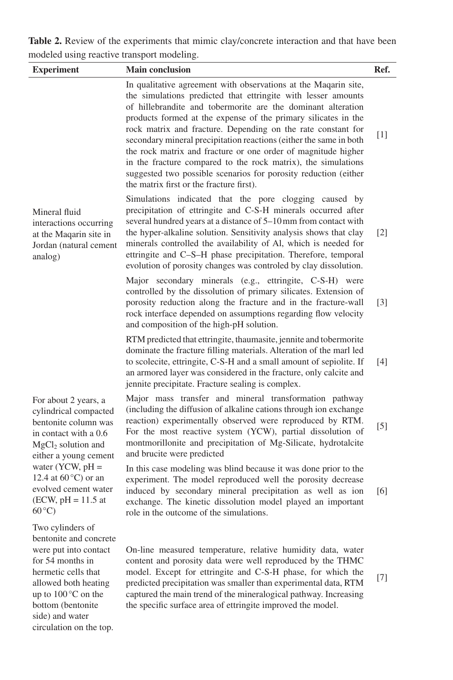Table 2. Review of the experiments that mimic clay/concrete interaction and that have been modeled using reactive transport modeling.

| <b>Experiment</b>                                                                                                                                                                                                                | <b>Main conclusion</b>                                                                                                                                                                                                                                                                                                                                                                                                                                                                                                                                                                                                                                    | Ref.              |
|----------------------------------------------------------------------------------------------------------------------------------------------------------------------------------------------------------------------------------|-----------------------------------------------------------------------------------------------------------------------------------------------------------------------------------------------------------------------------------------------------------------------------------------------------------------------------------------------------------------------------------------------------------------------------------------------------------------------------------------------------------------------------------------------------------------------------------------------------------------------------------------------------------|-------------------|
|                                                                                                                                                                                                                                  | In qualitative agreement with observations at the Maqarin site,<br>the simulations predicted that ettringite with lesser amounts<br>of hillebrandite and tobermorite are the dominant alteration<br>products formed at the expense of the primary silicates in the<br>rock matrix and fracture. Depending on the rate constant for<br>secondary mineral precipitation reactions (either the same in both<br>the rock matrix and fracture or one order of magnitude higher<br>in the fracture compared to the rock matrix), the simulations<br>suggested two possible scenarios for porosity reduction (either<br>the matrix first or the fracture first). | $[1]$             |
| Mineral fluid<br>interactions occurring<br>at the Maqarin site in<br>Jordan (natural cement<br>analog)                                                                                                                           | Simulations indicated that the pore clogging caused by<br>precipitation of ettringite and C-S-H minerals occurred after<br>several hundred years at a distance of 5-10 mm from contact with<br>the hyper-alkaline solution. Sensitivity analysis shows that clay<br>minerals controlled the availability of Al, which is needed for<br>ettringite and C-S-H phase precipitation. Therefore, temporal<br>evolution of porosity changes was controled by clay dissolution.                                                                                                                                                                                  | $\lceil 2 \rceil$ |
|                                                                                                                                                                                                                                  | Major secondary minerals (e.g., ettringite, C-S-H) were<br>controlled by the dissolution of primary silicates. Extension of<br>porosity reduction along the fracture and in the fracture-wall<br>rock interface depended on assumptions regarding flow velocity<br>and composition of the high-pH solution.                                                                                                                                                                                                                                                                                                                                               | $[3]$             |
|                                                                                                                                                                                                                                  | RTM predicted that ettringite, thaumasite, jennite and tobermorite<br>dominate the fracture filling materials. Alteration of the marl led<br>to scolecite, ettringite, C-S-H and a small amount of sepiolite. If<br>an armored layer was considered in the fracture, only calcite and<br>jennite precipitate. Fracture sealing is complex.                                                                                                                                                                                                                                                                                                                | [4]               |
| For about 2 years, a<br>cylindrical compacted<br>bentonite column was<br>in contact with a 0.6<br>$MgCl2$ solution and<br>either a young cement                                                                                  | Major mass transfer and mineral transformation pathway<br>(including the diffusion of alkaline cations through ion exchange<br>reaction) experimentally observed were reproduced by RTM.<br>For the most reactive system (YCW), partial dissolution of<br>montmorillonite and precipitation of Mg-Silicate, hydrotalcite<br>and brucite were predicted                                                                                                                                                                                                                                                                                                    | $[5]$             |
| water (YCW, $pH =$<br>12.4 at $60^{\circ}$ C) or an<br>evolved cement water<br>$(ECW, pH = 11.5$ at<br>$60^{\circ}$ C)                                                                                                           | In this case modeling was blind because it was done prior to the<br>experiment. The model reproduced well the porosity decrease<br>induced by secondary mineral precipitation as well as ion<br>exchange. The kinetic dissolution model played an important<br>role in the outcome of the simulations.                                                                                                                                                                                                                                                                                                                                                    | [6]               |
| Two cylinders of<br>bentonite and concrete<br>were put into contact<br>for 54 months in<br>hermetic cells that<br>allowed both heating<br>up to 100 °C on the<br>bottom (bentonite<br>side) and water<br>circulation on the top. | On-line measured temperature, relative humidity data, water<br>content and porosity data were well reproduced by the THMC<br>model. Except for ettringite and C-S-H phase, for which the<br>predicted precipitation was smaller than experimental data, RTM<br>captured the main trend of the mineralogical pathway. Increasing<br>the specific surface area of ettringite improved the model.                                                                                                                                                                                                                                                            | $[7]$             |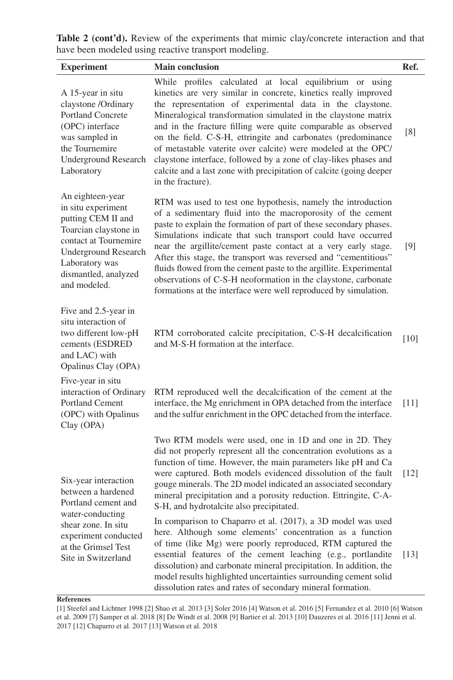| Table 2 (cont'd). Review of the experiments that mimic clay/concrete interaction and that |  |  |  |  |
|-------------------------------------------------------------------------------------------|--|--|--|--|
| have been modeled using reactive transport modeling.                                      |  |  |  |  |

| <b>Experiment</b>                                                                                                                                                                                       | <b>Main conclusion</b>                                                                                                                                                                                                                                                                                                                                                                                                                                                                                                                                                                                                      | Ref.   |
|---------------------------------------------------------------------------------------------------------------------------------------------------------------------------------------------------------|-----------------------------------------------------------------------------------------------------------------------------------------------------------------------------------------------------------------------------------------------------------------------------------------------------------------------------------------------------------------------------------------------------------------------------------------------------------------------------------------------------------------------------------------------------------------------------------------------------------------------------|--------|
| A 15-year in situ<br>claystone /Ordinary<br><b>Portland Concrete</b><br>(OPC) interface<br>was sampled in<br>the Tournemire<br><b>Underground Research</b><br>Laboratory                                | While profiles calculated at local equilibrium or using<br>kinetics are very similar in concrete, kinetics really improved<br>the representation of experimental data in the claystone.<br>Mineralogical transformation simulated in the claystone matrix<br>and in the fracture filling were quite comparable as observed<br>on the field. C-S-H, ettringite and carbonates (predominance<br>of metastable vaterite over calcite) were modeled at the OPC/<br>claystone interface, followed by a zone of clay-likes phases and<br>calcite and a last zone with precipitation of calcite (going deeper<br>in the fracture). | [8]    |
| An eighteen-year<br>in situ experiment<br>putting CEM II and<br>Toarcian claystone in<br>contact at Tournemire<br><b>Underground Research</b><br>Laboratory was<br>dismantled, analyzed<br>and modeled. | RTM was used to test one hypothesis, namely the introduction<br>of a sedimentary fluid into the macroporosity of the cement<br>paste to explain the formation of part of these secondary phases.<br>Simulations indicate that such transport could have occurred<br>near the argillite/cement paste contact at a very early stage.<br>After this stage, the transport was reversed and "cementitious"<br>fluids flowed from the cement paste to the argillite. Experimental<br>observations of C-S-H neoformation in the claystone, carbonate<br>formations at the interface were well reproduced by simulation.            | [9]    |
| Five and 2.5-year in<br>situ interaction of<br>two different low-pH<br>cements (ESDRED<br>and LAC) with<br>Opalinus Clay (OPA)                                                                          | RTM corroborated calcite precipitation, C-S-H decalcification<br>and M-S-H formation at the interface.                                                                                                                                                                                                                                                                                                                                                                                                                                                                                                                      | $[10]$ |
| Five-year in situ<br>interaction of Ordinary<br><b>Portland Cement</b><br>(OPC) with Opalinus<br>Clay (OPA)                                                                                             | RTM reproduced well the decalcification of the cement at the<br>interface, the Mg enrichment in OPA detached from the interface<br>and the sulfur enrichment in the OPC detached from the interface.                                                                                                                                                                                                                                                                                                                                                                                                                        | $[11]$ |
| Six-year interaction<br>between a hardened<br>Portland cement and<br>water-conducting                                                                                                                   | Two RTM models were used, one in 1D and one in 2D. They<br>did not properly represent all the concentration evolutions as a<br>function of time. However, the main parameters like pH and Ca<br>were captured. Both models evidenced dissolution of the fault<br>gouge minerals. The 2D model indicated an associated secondary<br>mineral precipitation and a porosity reduction. Ettringite, C-A-<br>S-H, and hydrotalcite also precipitated.                                                                                                                                                                             | [12]   |
| shear zone. In situ<br>experiment conducted<br>at the Grimsel Test<br>Site in Switzerland                                                                                                               | In comparison to Chaparro et al. (2017), a 3D model was used<br>here. Although some elements' concentration as a function<br>of time (like Mg) were poorly reproduced, RTM captured the<br>essential features of the cement leaching (e.g., portlandite<br>dissolution) and carbonate mineral precipitation. In addition, the<br>model results highlighted uncertainties surrounding cement solid                                                                                                                                                                                                                           | [13]   |

dissolution rates and rates of secondary mineral formation.

#### **References**

<sup>[1]</sup> Steefel and Lichtner 1998 [2] Shao et al. 2013 [3] Soler 2016 [4] Watson et al. 2016 [5] Fernandez et al. 2010 [6] Watson et al. 2009 [7] Samper et al. 2018 [8] De Windt et al. 2008 [9] Bartier et al. 2013 [10] Dauzeres et al. 2016 [11] Jenni et al. 2017 [12] Chaparro et al. 2017 [13] Watson et al. 2018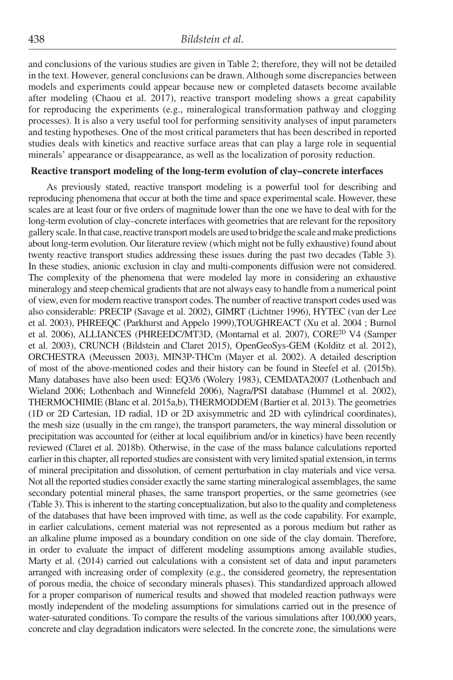and conclusions of the various studies are given in Table 2; therefore, they will not be detailed in the text. However, general conclusions can be drawn. Although some discrepancies between models and experiments could appear because new or completed datasets become available after modeling (Chaou et al. 2017), reactive transport modeling shows a great capability for reproducing the experiments (e.g., mineralogical transformation pathway and clogging processes). It is also a very useful tool for performing sensitivity analyses of input parameters and testing hypotheses. One of the most critical parameters that has been described in reported studies deals with kinetics and reactive surface areas that can play a large role in sequential minerals' appearance or disappearance, as well as the localization of porosity reduction.

# **Reactive transport modeling of the long-term evolution of clay–concrete interfaces**

As previously stated, reactive transport modeling is a powerful tool for describing and reproducing phenomena that occur at both the time and space experimental scale. However, these scales are at least four or five orders of magnitude lower than the one we have to deal with for the long-term evolution of clay–concrete interfaces with geometries that are relevant for the repository gallery scale. In that case, reactive transport models are used to bridge the scale and make predictions about long-term evolution. Our literature review (which might not be fully exhaustive) found about twenty reactive transport studies addressing these issues during the past two decades (Table 3). In these studies, anionic exclusion in clay and multi-components diffusion were not considered. The complexity of the phenomena that were modeled lay more in considering an exhaustive mineralogy and steep chemical gradients that are not always easy to handle from a numerical point of view, even for modern reactive transport codes. The number of reactive transport codes used was also considerable: PRECIP (Savage et al. 2002), GIMRT (Lichtner 1996), HYTEC (van der Lee et al. 2003), PHREEQC (Parkhurst and Appelo 1999),TOUGHREACT (Xu et al. 2004 ; Burnol et al. 2006), ALLIANCES (PHREEDC/MT3D, (Montarnal et al. 2007), CORE2D V4 (Samper et al. 2003), CRUNCH (Bildstein and Claret 2015), OpenGeoSys-GEM (Kolditz et al. 2012), ORCHESTRA (Meeussen 2003), MIN3P-THCm (Mayer et al. 2002). A detailed description of most of the above-mentioned codes and their history can be found in Steefel et al. (2015b). Many databases have also been used: EQ3/6 (Wolery 1983), CEMDATA2007 (Lothenbach and Wieland 2006; Lothenbach and Winnefeld 2006), Nagra/PSI database (Hummel et al. 2002), THERMOCHIMIE (Blanc et al. 2015a,b), THERMODDEM (Bartier et al. 2013). The geometries (1D or 2D Cartesian, 1D radial, 1D or 2D axisymmetric and 2D with cylindrical coordinates), the mesh size (usually in the cm range), the transport parameters, the way mineral dissolution or precipitation was accounted for (either at local equilibrium and/or in kinetics) have been recently reviewed (Claret et al. 2018b). Otherwise, in the case of the mass balance calculations reported earlier in this chapter, all reported studies are consistent with very limited spatial extension, in terms of mineral precipitation and dissolution, of cement perturbation in clay materials and vice versa. Not all the reported studies consider exactly the same starting mineralogical assemblages, the same secondary potential mineral phases, the same transport properties, or the same geometries (see (Table 3). This is inherent to the starting conceptualization, but also to the quality and completeness of the databases that have been improved with time, as well as the code capability. For example, in earlier calculations, cement material was not represented as a porous medium but rather as an alkaline plume imposed as a boundary condition on one side of the clay domain. Therefore, in order to evaluate the impact of different modeling assumptions among available studies, Marty et al. (2014) carried out calculations with a consistent set of data and input parameters arranged with increasing order of complexity (e.g., the considered geometry, the representation of porous media, the choice of secondary minerals phases). This standardized approach allowed for a proper comparison of numerical results and showed that modeled reaction pathways were mostly independent of the modeling assumptions for simulations carried out in the presence of water-saturated conditions. To compare the results of the various simulations after 100,000 years, concrete and clay degradation indicators were selected. In the concrete zone, the simulations were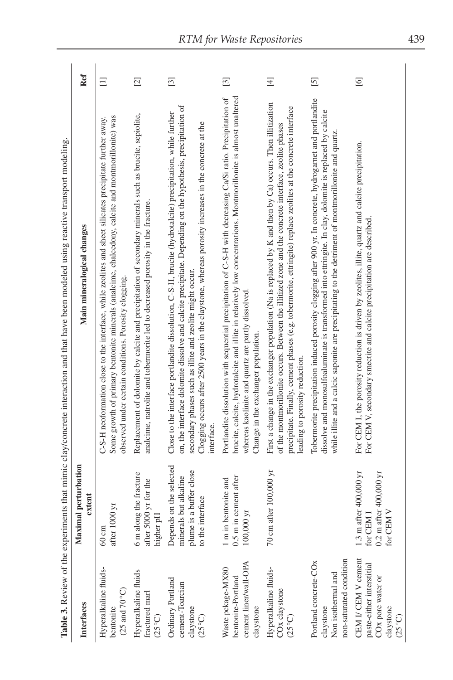|                                                                                                                              |                                                                                                 | Table 3. Review of the experiments that mimic clay/concrete interaction and that have been modeled using reactive transport modeling.                                                                                                                                                                                                                                                                      |                                   |
|------------------------------------------------------------------------------------------------------------------------------|-------------------------------------------------------------------------------------------------|------------------------------------------------------------------------------------------------------------------------------------------------------------------------------------------------------------------------------------------------------------------------------------------------------------------------------------------------------------------------------------------------------------|-----------------------------------|
| <b>Interfaces</b>                                                                                                            | Maximal perturbation<br>extent                                                                  | Main mineralogical changes                                                                                                                                                                                                                                                                                                                                                                                 | Ref                               |
| Hyperalkaline fluids-<br>$(25$ and $70^{\circ}\mathrm{C})$<br>bentonite                                                      | after 1000 yr<br>$60 \text{ cm}$                                                                | Some growth of primary bentonite minerals (analcime, chalcedony, calcite and montmorillonite) was<br>C-S-H neoformation close to the interface, while zeolites and sheet silicates precipitate further away.<br>observed under certain conditions. Porosity clogging.                                                                                                                                      | Ξ                                 |
| Hyperalkaline fluids<br>fractured marl<br>$(25^{\circ}C)$                                                                    | along the fracture<br>after 5000 yr for the<br>higher pH<br>$6 \text{ m}$                       | Replacement of dolomite by calcite and precipitation of secondary minerals such as brucite, sepiolite,<br>analcime, natrolite and tobermorite led to decreased porosity in the fracture.                                                                                                                                                                                                                   | $\Xi$                             |
| Ordinary Portland<br>cement-Toarcian<br>claystone<br>$(25^{\circ}C)$                                                         | Depends on the selected<br>plume is a buffer close<br>minerals but alkaline<br>to the interface | on, the interface dolomite dissolve and calcite precipitate. Depending on the hypothesis, precipitation of<br>Close to the interface portlandite dissolution, C-S-H, brucite (hydrotalcite) precipitation, while further<br>Clogging occurs after 2500 years in the claystone, whereas porosity increases in the concrete at the<br>secondary phases such as illite and zeolite might occur.<br>interface. | $\boxed{3}$                       |
| cement liner/wall-OPA<br>Waste pckage-MX80<br>bentonite-Portland<br>claystone                                                | 0.5 m in cement after<br>in bentonite and<br>100,000 yr<br>$\mathbb{I}$                         | Portlandite dissolution with sequential precipitation of C-S-H with decreasing Ca/Si ratio. Precipitation of<br>brucite, calcite, hydrotalcite and illite in relatively low concentrations. Montmorillonite is almost unaltered<br>whereas kaolinite and quartz are partly dissolved.<br>Change in the exchanger population                                                                                | $\boxed{3}$                       |
| Hyperalkaline fluids-<br>CO <sub>x</sub> claystone<br>(25°C)                                                                 | 70 cm after 100,000 yr                                                                          | First a change in the exchanger population (Na is replaced by K and then by Ca) occurs. Then illitization<br>precipitate. Finally, cement phases (e.g. tobermorite, ettringite) replace zeolites at the concrete interface<br>of the montmorillonite occurs. Between the illitized zone and the concrete interface, zeolite phases<br>leading to porosity reduction.                                       | $\boxed{4}$                       |
| non-saturated condition<br>Portland concrete-COx<br>Non isothermal and<br>claystone                                          |                                                                                                 | Tobermorite precipitation induced porosity clogging after 900 yr. In concrete, hydrogarnet and portlandite<br>dissolve and monosulfoaluminate is transformed into ettringite. In clay, dolomite is replaced by calcite<br>while illite and a calcic saponite are precipitating to the detriment of montmorillonite and quartz                                                                              | $\begin{bmatrix} 5 \end{bmatrix}$ |
| CEM I/ CEM V cement<br>paste-either interstitial<br>CO <sub>x</sub> pore water or<br>claystone<br>$(25\,^{\circ}\mathrm{C})$ | 1.3 m after 400,000 yr<br>$0.2$ m after $400,000$ yr<br>for CEM V<br>for CEM <sub>1</sub>       | For CEM I, the porosity reduction is driven by zeolites, illite, quartz and calcite precipitation.<br>For CEM V, secondary smectite and calcite precipitation are described.                                                                                                                                                                                                                               | $\overline{6}$                    |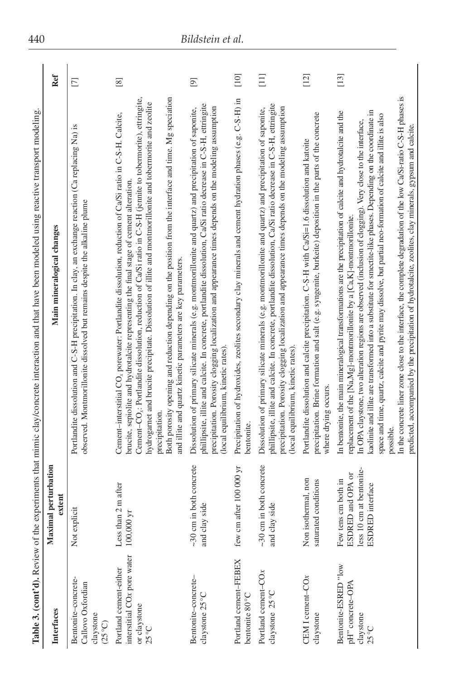|                                                                                                     |                                                                                                    | Table 3. (cont'd). Review of the experiments that mimic clay/concrete interaction and that have been modeled using reactive transport modeling.                                                                                                                                                                                                                                                                                                                                                                                                                                                                                                                                                                                                                                                 |                                    |
|-----------------------------------------------------------------------------------------------------|----------------------------------------------------------------------------------------------------|-------------------------------------------------------------------------------------------------------------------------------------------------------------------------------------------------------------------------------------------------------------------------------------------------------------------------------------------------------------------------------------------------------------------------------------------------------------------------------------------------------------------------------------------------------------------------------------------------------------------------------------------------------------------------------------------------------------------------------------------------------------------------------------------------|------------------------------------|
| <b>Interfaces</b>                                                                                   | Maximal perturbation<br>extent                                                                     | Main mineralogical changes                                                                                                                                                                                                                                                                                                                                                                                                                                                                                                                                                                                                                                                                                                                                                                      | Ref                                |
| Bentonite-concrete-<br>Callovo Oxfordian<br>claystone<br>(25°C)                                     | explicit<br>Xot                                                                                    | Portlandite dissolution and C-S-H precipitation. In clay, an exchange reaction (Ca replacing Na) is<br>observed. Montmorillonite dissolved but remains despite the alkaline plume                                                                                                                                                                                                                                                                                                                                                                                                                                                                                                                                                                                                               | $\Box$                             |
| interstitial CO <sub>x</sub> pore water<br>Portland cement-either<br>or claystone<br>$25^{\circ}$ C | Less than 2 m after<br>100,000 yr                                                                  | Cement-CO <sub>3</sub> : Portlandite dissolution, reduction of Ca/Si ratio in C-S-H (jennite to tobermorite), ettringite,<br>Both porosity opening and reduction depending on the position from the interface and time. Mg speciation<br>hydrogamet and brucite precipitate. Dissolution of illite and montmorillonite and tobermorite and zeolite<br>Cement-interstitial CO <sub>v</sub> porewater: Portlandite dissolution, reduction of Ca/Si ratio in C-S-H. Calcite,<br>brucite, sepiolite and hydrotalcite representing the final stage of cement alteration.<br>and illite and quartz kinetic parameters are key parameters.<br>precipitation.                                                                                                                                           | $\boxed{8}$                        |
| Bentonite-concrete-<br>claystone 25°C                                                               | cm in both concrete<br>clay side<br>$-30$<br>and                                                   | phillipsite, illite and calcite. In concrete, portlandite dissolution, Ca/Si ratio decrease in C-S-H, ettringite<br>precipitation. Porosity clogging localization and appearance times depends on the modeling assumption<br>Dissolution of primary silicate minerals (e.g. montmorillonite and quartz) and precipitation of saponite,<br>(local equilibrium, kinetic rates)                                                                                                                                                                                                                                                                                                                                                                                                                    | $\begin{bmatrix} 9 \end{bmatrix}$  |
| Portland cement-FEBEX<br>bentonite 80°C                                                             | cm after 100 000 yr<br>few                                                                         | Precipitation of hydroxides, zeolites secondary clay minerals and cement hydration phases (e.g. C-S-H) in<br>bentonite                                                                                                                                                                                                                                                                                                                                                                                                                                                                                                                                                                                                                                                                          | $[10]$                             |
| Portland cement-COx<br>claystone 25 °C                                                              | cm in both concrete<br>and clay side<br>~20                                                        | phillipsite, illite and calcite. In concrete, portlandite dissolution, Ca/Si ratio decrease in C-S-H, ettringite<br>precipitation. Porosity clogging localization and appearance times depends on the modeling assumption<br>Dissolution of primary silicate minerals (e.g. montmorillonite and quartz) and precipitation of saponite,<br>(local equilibrium, kinetic rates).                                                                                                                                                                                                                                                                                                                                                                                                                   | $\Xi$                              |
| CEM I cement-COx<br>claystone                                                                       | Non isothermal, non<br>saturated conditions                                                        | precipitation. Brine formation and salt (e.g. syngenite, burkeite) deposition in the parts of the concrete<br>Portlandite dissolution and calcite precipitation. C-S-H with Ca/Si=1.6 dissolution and katoite<br>where drying occurs.                                                                                                                                                                                                                                                                                                                                                                                                                                                                                                                                                           | $\begin{bmatrix} 12 \end{bmatrix}$ |
| Bentonite-ESRED "low<br>pH" concrete-OPA<br>claystone<br>$25^{\circ}$ C                             | less 10 cm at bentonite-<br>ESDRED and OPA or<br>tens cm both in<br><b>ESDRED</b> interface<br>Few | In the concrete liner zone close to the interface, the complete degradation of the low Ca/Si-ratio C-S-H phases is<br>kaolinite and illite are transformed into a substitute for smectite-like phases. Depending on the coordinate in<br>In bentonite, the main mineralogical transformations are the precipitation of calcite and hydrotalcite and the<br>space and time, quartz, calcite and pyrite may dissolve, but partial neo-formation of calcite and illite is also<br>In OPA claystone, two alteration regions are observed (inclusion of clogging). Very close to the interface,<br>predicted, accompanied by the precipitation of hydrotalcite, zeolites, clay minerals, gypsum and calcite.<br>replacement of the [Na,Mg]-montmorillonite by a [Ca,K]-montmorillonite.<br>possible. | $[13]$                             |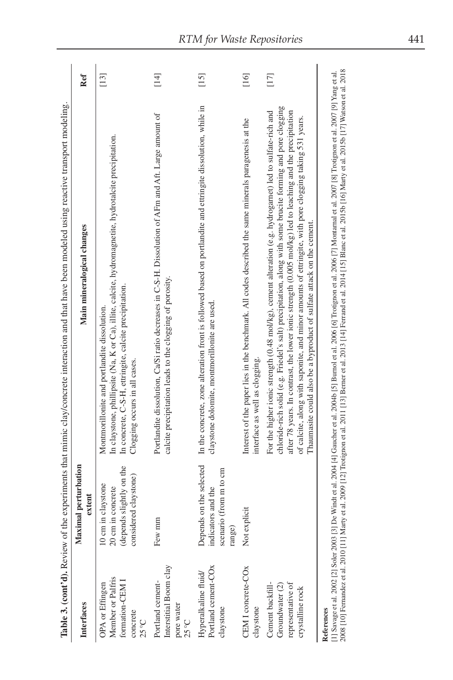| Interfaces                                                                                                                                                                                                               | Maximal perturbation<br>extent                                                               | Main mineralogical changes                                                                                                                                                                                                                                                                                                                                                                                                                                                                                               | Ref    |
|--------------------------------------------------------------------------------------------------------------------------------------------------------------------------------------------------------------------------|----------------------------------------------------------------------------------------------|--------------------------------------------------------------------------------------------------------------------------------------------------------------------------------------------------------------------------------------------------------------------------------------------------------------------------------------------------------------------------------------------------------------------------------------------------------------------------------------------------------------------------|--------|
| Member or Palfris<br>formation-CEM 1<br>OPA or Effingen<br>concrete<br>$25^{\circ}$ C                                                                                                                                    | (depends slightly on the<br>considered claystone)<br>10 cm in claystone<br>20 cm in concrete | In claystone, phillipsite (Na, K or Ca), illite, calcite, hydromagnetite, hydrotalcite precipitation.<br>In concrete, C-S-H, ettringite, calcite precipitation.<br>Montmorillonite and portlandite dissolution.<br>Clogging occurs in all cases.                                                                                                                                                                                                                                                                         | $[13]$ |
| Interstitial Boom clay<br>Portland cement-<br>pore water<br>$25^{\circ}$ C                                                                                                                                               | mm<br>Few 1                                                                                  | Portlandite dissolution, Ca/Si ratio decreases in C-S-H. Dissolution of AFm and Aft. Large amount of<br>calcite precipitation leads to the clogging of porosity.                                                                                                                                                                                                                                                                                                                                                         | $[14]$ |
| Portland cement-COx<br>Hyperalkaline fluid/<br>claystone                                                                                                                                                                 | Depends on the selected<br>scenario (from m to cm<br>indicators and the<br>range             | In the concrete, zone alteration front is followed based on portlandite and ettringite dissolution, while in<br>claystone dolomite, montmorillonite are used.                                                                                                                                                                                                                                                                                                                                                            | $[15]$ |
| CEM I concrete-COx<br>claystone                                                                                                                                                                                          | Not explicit                                                                                 | Interest of the paper lies in the benchmark. All codes described the same minerals paragenesis at the<br>interface as well as clogging.                                                                                                                                                                                                                                                                                                                                                                                  | $[16]$ |
| representative of<br>Cement backfill-<br>Groundwater (2)<br>crystalline rock                                                                                                                                             |                                                                                              | chloride-rich solid (e.g. Friedel's salt) precipitation, along with some brucite forming and pore clogging<br>For the higher ionic strength (0.48 mol/kg), cement alteration (e.g. hydrogarnet) led to sulfate-rich and<br>after 78 years. In contrast, the lower ionic strength (0.005 mol/kg) led to leaching and the precipitation<br>of calcite, along with saponite, and minor amounts of ettringite, with pore clogging taking 531 years.<br>Thaumasite could also be a byproduct of sulfate attack on the cement. | $[17]$ |
| 2008 [10] Fernandez et al. 2010 [11] Marty et al. 2009 [12] Trotignon et al. 2011 [13] Berner et al. 2013 [14] Ferrand et al. 2014 [15] Blanc et al. 2015b [16] Marty et al. 2015b [17] Watson et al. 2018<br>References |                                                                                              | [1] Savage et al. 2002 [2] Soler 2003 [3] De Windt et al. 2004 [4] Gaucher et al. 2004 [5] Burnol et al. 2006 [6] Trotignon et al. 2007 [7] Montamal et al. 2007 [8] Trotignon et al. 2007 [9] Yang et al.                                                                                                                                                                                                                                                                                                               |        |

[1] Savage et al. 2002 [2] Soler 2003 [3] De Windt et al. 2004 [4] Gaucher et al. 2004b [5] Burnol et al. 2006 [6] Trotignon et al. 2006 [7] Montarnal et al. 2007 [8] Trotignon et al. 2007 [9] Yang et al. 2008 [10] Fernandez et al. 2010 [11] Marty et al. 2009 [12] Trotignon et al. 2011 [13] Berner et al. 2013 [14] Ferrand et al. 2014 [15] Blanc et al. 2015b [16] Marty et al. 2015b [17] Watson et al. 2018E,  $\overline{\phantom{a}}$  $\geq$  $\frac{1}{2}$ Ē,  $+$ [15]  $\pm$ ÷.  $\bar{=}$  $\frac{1}{2}$ Ė, ដូ∫ ÷. Ξ, n<br>Gin Ê. Ė, 5.  $\Xi$ ∣≃ ⊏ ਨ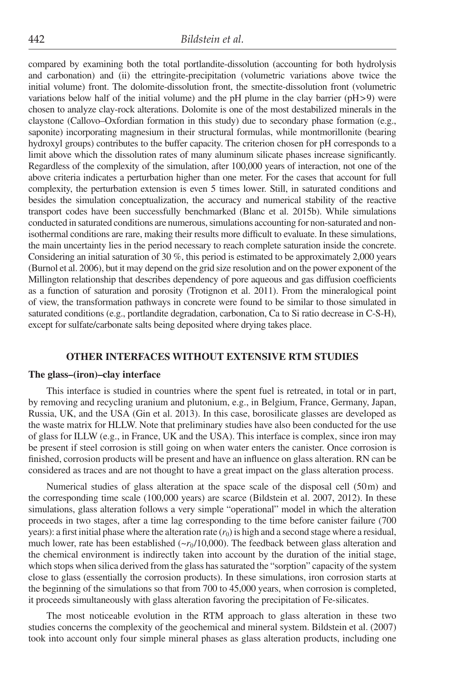compared by examining both the total portlandite-dissolution (accounting for both hydrolysis and carbonation) and (ii) the ettringite-precipitation (volumetric variations above twice the initial volume) front. The dolomite-dissolution front, the smectite-dissolution front (volumetric variations below half of the initial volume) and the pH plume in the clay barrier (pH>9) were chosen to analyze clay-rock alterations. Dolomite is one of the most destabilized minerals in the claystone (Callovo–Oxfordian formation in this study) due to secondary phase formation (e.g., saponite) incorporating magnesium in their structural formulas, while montmorillonite (bearing hydroxyl groups) contributes to the buffer capacity. The criterion chosen for pH corresponds to a limit above which the dissolution rates of many aluminum silicate phases increase significantly. Regardless of the complexity of the simulation, after 100,000 years of interaction, not one of the above criteria indicates a perturbation higher than one meter. For the cases that account for full complexity, the perturbation extension is even 5 times lower. Still, in saturated conditions and besides the simulation conceptualization, the accuracy and numerical stability of the reactive transport codes have been successfully benchmarked (Blanc et al. 2015b). While simulations conducted in saturated conditions are numerous, simulations accounting for non-saturated and nonisothermal conditions are rare, making their results more difficult to evaluate. In these simulations, the main uncertainty lies in the period necessary to reach complete saturation inside the concrete. Considering an initial saturation of 30 %, this period is estimated to be approximately 2,000 years (Burnol et al. 2006), but it may depend on the grid size resolution and on the power exponent of the Millington relationship that describes dependency of pore aqueous and gas diffusion coefficients as a function of saturation and porosity (Trotignon et al. 2011). From the mineralogical point of view, the transformation pathways in concrete were found to be similar to those simulated in saturated conditions (e.g., portlandite degradation, carbonation, Ca to Si ratio decrease in C-S-H), except for sulfate/carbonate salts being deposited where drying takes place.

# **OTHER INTERFACES WITHOUT EXTENSIVE RTM STUDIES**

#### **The glass–(iron)–clay interface**

This interface is studied in countries where the spent fuel is retreated, in total or in part, by removing and recycling uranium and plutonium, e.g., in Belgium, France, Germany, Japan, Russia, UK, and the USA (Gin et al. 2013). In this case, borosilicate glasses are developed as the waste matrix for HLLW. Note that preliminary studies have also been conducted for the use of glass for ILLW (e.g., in France, UK and the USA). This interface is complex, since iron may be present if steel corrosion is still going on when water enters the canister. Once corrosion is finished, corrosion products will be present and have an influence on glass alteration. RN can be considered as traces and are not thought to have a great impact on the glass alteration process.

Numerical studies of glass alteration at the space scale of the disposal cell (50m) and the corresponding time scale (100,000 years) are scarce (Bildstein et al. 2007, 2012). In these simulations, glass alteration follows a very simple "operational" model in which the alteration proceeds in two stages, after a time lag corresponding to the time before canister failure (700 years): a first initial phase where the alteration rate  $(r_0)$  is high and a second stage where a residual, much lower, rate has been established ( $\nu r_0/10,000$ ). The feedback between glass alteration and the chemical environment is indirectly taken into account by the duration of the initial stage, which stops when silica derived from the glass has saturated the "sorption" capacity of the system close to glass (essentially the corrosion products). In these simulations, iron corrosion starts at the beginning of the simulations so that from 700 to 45,000 years, when corrosion is completed, it proceeds simultaneously with glass alteration favoring the precipitation of Fe-silicates.

The most noticeable evolution in the RTM approach to glass alteration in these two studies concerns the complexity of the geochemical and mineral system. Bildstein et al. (2007) took into account only four simple mineral phases as glass alteration products, including one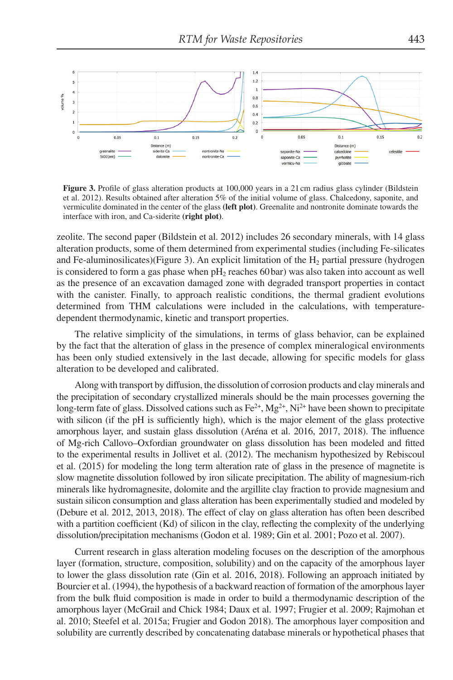

**Figure 3.** Profile of glass alteration products at 100,000 years in a 21 cm radius glass cylinder (Bildstein et al. 2012). Results obtained after alteration 5% of the initial volume of glass. Chalcedony, saponite, and vermiculite dominated in the center of the glass **(left plot)**. Greenalite and nontronite dominate towards the interface with iron, and Ca-siderite **(right plot)**.

zeolite. The second paper (Bildstein et al. 2012) includes 26 secondary minerals, with 14 glass alteration products, some of them determined from experimental studies (including Fe-silicates and Fe-aluminosilicates)(Figure 3). An explicit limitation of the  $H_2$  partial pressure (hydrogen is considered to form a gas phase when  $pH<sub>2</sub>$  reaches 60 bar) was also taken into account as well as the presence of an excavation damaged zone with degraded transport properties in contact with the canister. Finally, to approach realistic conditions, the thermal gradient evolutions determined from THM calculations were included in the calculations, with temperaturedependent thermodynamic, kinetic and transport properties.

The relative simplicity of the simulations, in terms of glass behavior, can be explained by the fact that the alteration of glass in the presence of complex mineralogical environments has been only studied extensively in the last decade, allowing for specific models for glass alteration to be developed and calibrated.

Along with transport by diffusion, the dissolution of corrosion products and clay minerals and the precipitation of secondary crystallized minerals should be the main processes governing the long-term fate of glass. Dissolved cations such as  $Fe^{2+}$ ,  $Mg^{2+}$ , Ni<sup>2+</sup> have been shown to precipitate with silicon (if the pH is sufficiently high), which is the major element of the glass protective amorphous layer, and sustain glass dissolution (Aréna et al. 2016, 2017, 2018). The influence of Mg-rich Callovo–Oxfordian groundwater on glass dissolution has been modeled and fitted to the experimental results in Jollivet et al. (2012). The mechanism hypothesized by Rebiscoul et al. (2015) for modeling the long term alteration rate of glass in the presence of magnetite is slow magnetite dissolution followed by iron silicate precipitation. The ability of magnesium-rich minerals like hydromagnesite, dolomite and the argillite clay fraction to provide magnesium and sustain silicon consumption and glass alteration has been experimentally studied and modeled by (Debure et al. 2012, 2013, 2018). The effect of clay on glass alteration has often been described with a partition coefficient (Kd) of silicon in the clay, reflecting the complexity of the underlying dissolution/precipitation mechanisms (Godon et al. 1989; Gin et al. 2001; Pozo et al. 2007).

Current research in glass alteration modeling focuses on the description of the amorphous layer (formation, structure, composition, solubility) and on the capacity of the amorphous layer to lower the glass dissolution rate (Gin et al. 2016, 2018). Following an approach initiated by Bourcier et al. (1994), the hypothesis of a backward reaction of formation of the amorphous layer from the bulk fluid composition is made in order to build a thermodynamic description of the amorphous layer (McGrail and Chick 1984; Daux et al. 1997; Frugier et al. 2009; Rajmohan et al. 2010; Steefel et al. 2015a; Frugier and Godon 2018). The amorphous layer composition and solubility are currently described by concatenating database minerals or hypothetical phases that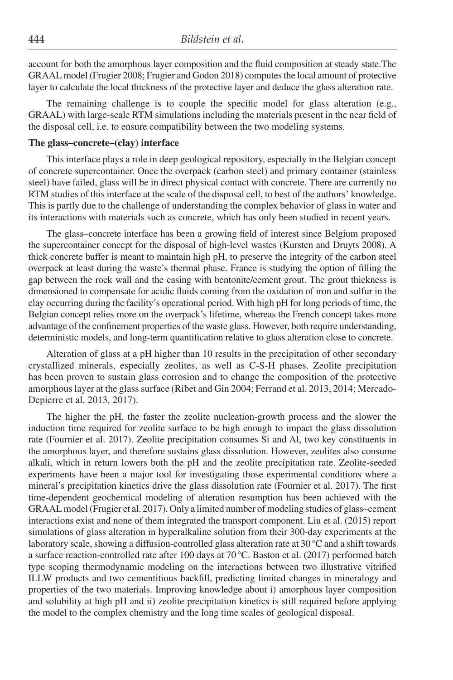account for both the amorphous layer composition and the fluid composition at steady state.The GRAAL model (Frugier 2008; Frugier and Godon 2018) computes the local amount of protective layer to calculate the local thickness of the protective layer and deduce the glass alteration rate.

The remaining challenge is to couple the specific model for glass alteration (e.g., GRAAL) with large-scale RTM simulations including the materials present in the near field of the disposal cell, i.e. to ensure compatibility between the two modeling systems.

#### **The glass–concrete–(clay) interface**

This interface plays a role in deep geological repository, especially in the Belgian concept of concrete supercontainer. Once the overpack (carbon steel) and primary container (stainless steel) have failed, glass will be in direct physical contact with concrete. There are currently no RTM studies of this interface at the scale of the disposal cell, to best of the authors' knowledge. This is partly due to the challenge of understanding the complex behavior of glass in water and its interactions with materials such as concrete, which has only been studied in recent years.

The glass–concrete interface has been a growing field of interest since Belgium proposed the supercontainer concept for the disposal of high-level wastes (Kursten and Druyts 2008). A thick concrete buffer is meant to maintain high pH, to preserve the integrity of the carbon steel overpack at least during the waste's thermal phase. France is studying the option of filling the gap between the rock wall and the casing with bentonite/cement grout. The grout thickness is dimensioned to compensate for acidic fluids coming from the oxidation of iron and sulfur in the clay occurring during the facility's operational period. With high pH for long periods of time, the Belgian concept relies more on the overpack's lifetime, whereas the French concept takes more advantage of the confinement properties of the waste glass. However, both require understanding, deterministic models, and long-term quantification relative to glass alteration close to concrete.

Alteration of glass at a pH higher than 10 results in the precipitation of other secondary crystallized minerals, especially zeolites, as well as C-S-H phases. Zeolite precipitation has been proven to sustain glass corrosion and to change the composition of the protective amorphous layer at the glass surface (Ribet and Gin 2004; Ferrand et al. 2013, 2014; Mercado-Depierre et al. 2013, 2017).

The higher the pH, the faster the zeolite nucleation-growth process and the slower the induction time required for zeolite surface to be high enough to impact the glass dissolution rate (Fournier et al. 2017). Zeolite precipitation consumes Si and Al, two key constituents in the amorphous layer, and therefore sustains glass dissolution. However, zeolites also consume alkali, which in return lowers both the pH and the zeolite precipitation rate. Zeolite-seeded experiments have been a major tool for investigating those experimental conditions where a mineral's precipitation kinetics drive the glass dissolution rate (Fournier et al. 2017). The first time-dependent geochemical modeling of alteration resumption has been achieved with the GRAAL model (Frugier et al. 2017). Only a limited number of modeling studies of glass–cement interactions exist and none of them integrated the transport component. Liu et al. (2015) report simulations of glass alteration in hyperalkaline solution from their 300-day experiments at the laboratory scale, showing a diffusion-controlled glass alteration rate at 30°C and a shift towards a surface reaction-controlled rate after 100 days at 70°C. Baston et al. (2017) performed batch type scoping thermodynamic modeling on the interactions between two illustrative vitrified ILLW products and two cementitious backfill, predicting limited changes in mineralogy and properties of the two materials. Improving knowledge about i) amorphous layer composition and solubility at high pH and ii) zeolite precipitation kinetics is still required before applying the model to the complex chemistry and the long time scales of geological disposal.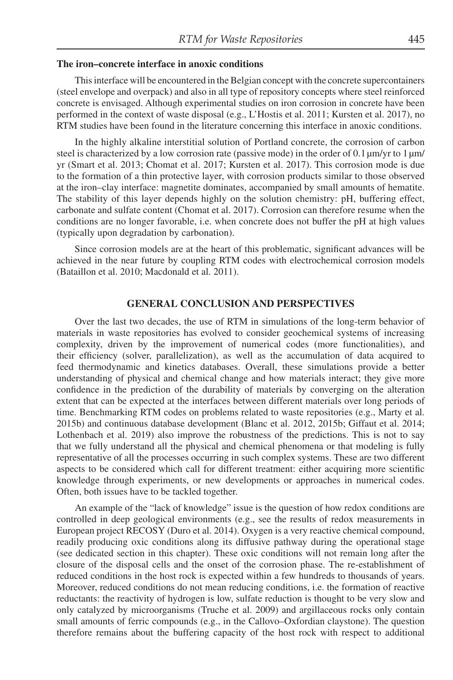## **The iron–concrete interface in anoxic conditions**

This interface will be encountered in the Belgian concept with the concrete supercontainers (steel envelope and overpack) and also in all type of repository concepts where steel reinforced concrete is envisaged. Although experimental studies on iron corrosion in concrete have been performed in the context of waste disposal (e.g., L'Hostis et al. 2011; Kursten et al. 2017), no RTM studies have been found in the literature concerning this interface in anoxic conditions.

In the highly alkaline interstitial solution of Portland concrete, the corrosion of carbon steel is characterized by a low corrosion rate (passive mode) in the order of 0.1  $\mu$ m/yr to 1  $\mu$ m/ yr (Smart et al. 2013; Chomat et al. 2017; Kursten et al. 2017). This corrosion mode is due to the formation of a thin protective layer, with corrosion products similar to those observed at the iron–clay interface: magnetite dominates, accompanied by small amounts of hematite. The stability of this layer depends highly on the solution chemistry: pH, buffering effect, carbonate and sulfate content (Chomat et al. 2017). Corrosion can therefore resume when the conditions are no longer favorable, i.e. when concrete does not buffer the pH at high values (typically upon degradation by carbonation).

Since corrosion models are at the heart of this problematic, significant advances will be achieved in the near future by coupling RTM codes with electrochemical corrosion models (Bataillon et al. 2010; Macdonald et al. 2011).

# **GENERAL CONCLUSION AND PERSPECTIVES**

Over the last two decades, the use of RTM in simulations of the long-term behavior of materials in waste repositories has evolved to consider geochemical systems of increasing complexity, driven by the improvement of numerical codes (more functionalities), and their efficiency (solver, parallelization), as well as the accumulation of data acquired to feed thermodynamic and kinetics databases. Overall, these simulations provide a better understanding of physical and chemical change and how materials interact; they give more confidence in the prediction of the durability of materials by converging on the alteration extent that can be expected at the interfaces between different materials over long periods of time. Benchmarking RTM codes on problems related to waste repositories (e.g., Marty et al. 2015b) and continuous database development (Blanc et al. 2012, 2015b; Giffaut et al. 2014; Lothenbach et al. 2019) also improve the robustness of the predictions. This is not to say that we fully understand all the physical and chemical phenomena or that modeling is fully representative of all the processes occurring in such complex systems. These are two different aspects to be considered which call for different treatment: either acquiring more scientific knowledge through experiments, or new developments or approaches in numerical codes. Often, both issues have to be tackled together.

An example of the "lack of knowledge" issue is the question of how redox conditions are controlled in deep geological environments (e.g., see the results of redox measurements in European project RECOSY (Duro et al. 2014). Oxygen is a very reactive chemical compound, readily producing oxic conditions along its diffusive pathway during the operational stage (see dedicated section in this chapter). These oxic conditions will not remain long after the closure of the disposal cells and the onset of the corrosion phase. The re-establishment of reduced conditions in the host rock is expected within a few hundreds to thousands of years. Moreover, reduced conditions do not mean reducing conditions, i.e. the formation of reactive reductants: the reactivity of hydrogen is low, sulfate reduction is thought to be very slow and only catalyzed by microorganisms (Truche et al. 2009) and argillaceous rocks only contain small amounts of ferric compounds (e.g., in the Callovo–Oxfordian claystone). The question therefore remains about the buffering capacity of the host rock with respect to additional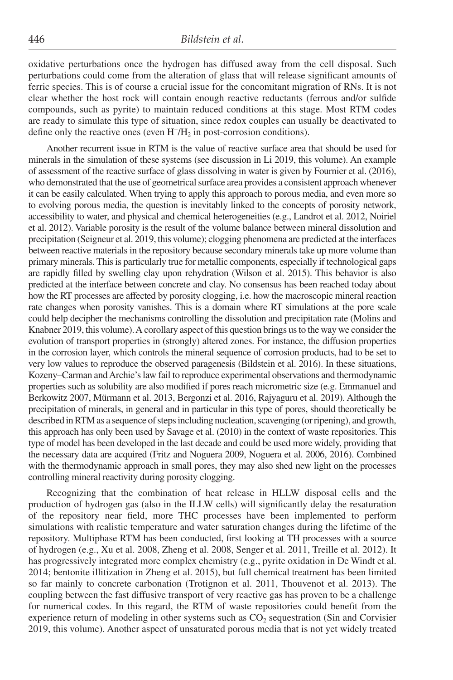oxidative perturbations once the hydrogen has diffused away from the cell disposal. Such perturbations could come from the alteration of glass that will release significant amounts of ferric species. This is of course a crucial issue for the concomitant migration of RNs. It is not clear whether the host rock will contain enough reactive reductants (ferrous and/or sulfide compounds, such as pyrite) to maintain reduced conditions at this stage. Most RTM codes are ready to simulate this type of situation, since redox couples can usually be deactivated to define only the reactive ones (even  $H^+/H_2$  in post-corrosion conditions).

Another recurrent issue in RTM is the value of reactive surface area that should be used for minerals in the simulation of these systems (see discussion in Li 2019, this volume). An example of assessment of the reactive surface of glass dissolving in water is given by Fournier et al. (2016), who demonstrated that the use of geometrical surface area provides a consistent approach whenever it can be easily calculated. When trying to apply this approach to porous media, and even more so to evolving porous media, the question is inevitably linked to the concepts of porosity network, accessibility to water, and physical and chemical heterogeneities (e.g., Landrot et al. 2012, Noiriel et al. 2012). Variable porosity is the result of the volume balance between mineral dissolution and precipitation (Seigneur et al. 2019, this volume); clogging phenomena are predicted at the interfaces between reactive materials in the repository because secondary minerals take up more volume than primary minerals. This is particularly true for metallic components, especially if technological gaps are rapidly filled by swelling clay upon rehydration (Wilson et al. 2015). This behavior is also predicted at the interface between concrete and clay. No consensus has been reached today about how the RT processes are affected by porosity clogging, i.e. how the macroscopic mineral reaction rate changes when porosity vanishes. This is a domain where RT simulations at the pore scale could help decipher the mechanisms controlling the dissolution and precipitation rate (Molins and Knabner 2019, this volume). A corollary aspect of this question brings us to the way we consider the evolution of transport properties in (strongly) altered zones. For instance, the diffusion properties in the corrosion layer, which controls the mineral sequence of corrosion products, had to be set to very low values to reproduce the observed paragenesis (Bildstein et al. 2016). In these situations, Kozeny–Carman and Archie's law fail to reproduce experimental observations and thermodynamic properties such as solubility are also modified if pores reach micrometric size (e.g. Emmanuel and Berkowitz 2007, Mürmann et al. 2013, Bergonzi et al. 2016, Rajyaguru et al. 2019). Although the precipitation of minerals, in general and in particular in this type of pores, should theoretically be described in RTM as a sequence of steps including nucleation, scavenging (or ripening), and growth, this approach has only been used by Savage et al. (2010) in the context of waste repositories. This type of model has been developed in the last decade and could be used more widely, providing that the necessary data are acquired (Fritz and Noguera 2009, Noguera et al. 2006, 2016). Combined with the thermodynamic approach in small pores, they may also shed new light on the processes controlling mineral reactivity during porosity clogging.

Recognizing that the combination of heat release in HLLW disposal cells and the production of hydrogen gas (also in the ILLW cells) will significantly delay the resaturation of the repository near field, more THC processes have been implemented to perform simulations with realistic temperature and water saturation changes during the lifetime of the repository. Multiphase RTM has been conducted, first looking at TH processes with a source of hydrogen (e.g., Xu et al. 2008, Zheng et al. 2008, Senger et al. 2011, Treille et al. 2012). It has progressively integrated more complex chemistry (e.g., pyrite oxidation in De Windt et al. 2014; bentonite illitization in Zheng et al. 2015), but full chemical treatment has been limited so far mainly to concrete carbonation (Trotignon et al. 2011, Thouvenot et al. 2013). The coupling between the fast diffusive transport of very reactive gas has proven to be a challenge for numerical codes. In this regard, the RTM of waste repositories could benefit from the experience return of modeling in other systems such as  $CO<sub>2</sub>$  sequestration (Sin and Corvisier 2019, this volume). Another aspect of unsaturated porous media that is not yet widely treated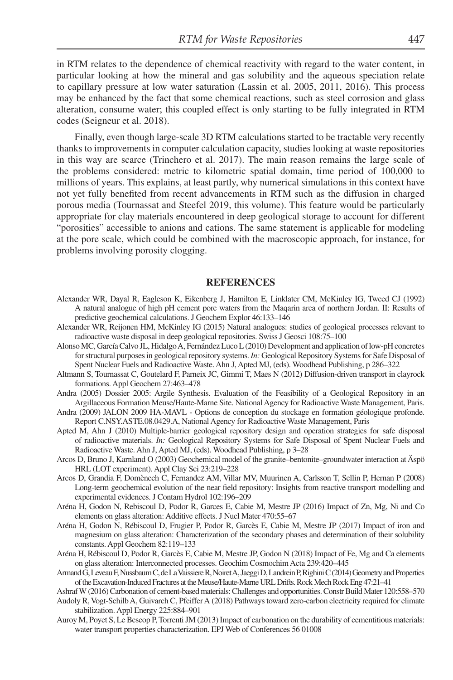in RTM relates to the dependence of chemical reactivity with regard to the water content, in particular looking at how the mineral and gas solubility and the aqueous speciation relate to capillary pressure at low water saturation (Lassin et al. 2005, 2011, 2016). This process may be enhanced by the fact that some chemical reactions, such as steel corrosion and glass alteration, consume water; this coupled effect is only starting to be fully integrated in RTM codes (Seigneur et al. 2018).

Finally, even though large-scale 3D RTM calculations started to be tractable very recently thanks to improvements in computer calculation capacity, studies looking at waste repositories in this way are scarce (Trinchero et al. 2017). The main reason remains the large scale of the problems considered: metric to kilometric spatial domain, time period of 100,000 to millions of years. This explains, at least partly, why numerical simulations in this context have not yet fully benefited from recent advancements in RTM such as the diffusion in charged porous media (Tournassat and Steefel 2019, this volume). This feature would be particularly appropriate for clay materials encountered in deep geological storage to account for different "porosities" accessible to anions and cations. The same statement is applicable for modeling at the pore scale, which could be combined with the macroscopic approach, for instance, for problems involving porosity clogging.

# **REFERENCES**

- Alexander WR, Dayal R, Eagleson K, Eikenberg J, Hamilton E, Linklater CM, McKinley IG, Tweed CJ (1992) A natural analogue of high pH cement pore waters from the Maqarin area of northern Jordan. II: Results of predictive geochemical calculations. J Geochem Explor 46:133–146
- Alexander WR, Reijonen HM, McKinley IG (2015) Natural analogues: studies of geological processes relevant to radioactive waste disposal in deep geological repositories. Swiss J Geosci 108:75–100
- Alonso MC, García Calvo JL, Hidalgo A, Fernández Luco L (2010) Development and application of low-pH concretes for structural purposes in geological repository systems. *In:* Geological Repository Systems for Safe Disposal of Spent Nuclear Fuels and Radioactive Waste. Ahn J, Apted MJ, (eds). Woodhead Publishing, p 286–322
- Altmann S, Tournassat C, Goutelard F, Parneix JC, Gimmi T, Maes N (2012) Diffusion-driven transport in clayrock formations. Appl Geochem 27:463–478
- Andra (2005) Dossier 2005: Argile Synthesis. Evaluation of the Feasibility of a Geological Repository in an Argillaceous Formation Meuse/Haute-Marne Site. National Agency for Radioactive Waste Management, Paris.
- Andra (2009) JALON 2009 HA-MAVL Options de conception du stockage en formation géologique profonde. Report C.NSY.ASTE.08.0429.A, National Agency for Radioactive Waste Management, Paris
- Apted M, Ahn J (2010) Multiple-barrier geological repository design and operation strategies for safe disposal of radioactive materials. *In:* Geological Repository Systems for Safe Disposal of Spent Nuclear Fuels and Radioactive Waste. Ahn J, Apted MJ, (eds). Woodhead Publishing, p 3–28
- Arcos D, Bruno J, Karnland O (2003) Geochemical model of the granite–bentonite–groundwater interaction at Äspö HRL (LOT experiment). Appl Clay Sci 23:219–228
- Arcos D, Grandia F, Domènech C, Fernandez AM, Villar MV, Muurinen A, Carlsson T, Sellin P, Hernan P (2008) Long-term geochemical evolution of the near field repository: Insights from reactive transport modelling and experimental evidences. J Contam Hydrol 102:196–209
- Aréna H, Godon N, Rebiscoul D, Podor R, Garces E, Cabie M, Mestre JP (2016) Impact of Zn, Mg, Ni and Co elements on glass alteration: Additive effects. J Nucl Mater 470:55–67
- Aréna H, Godon N, Rébiscoul D, Frugier P, Podor R, Garcès E, Cabie M, Mestre JP (2017) Impact of iron and magnesium on glass alteration: Characterization of the secondary phases and determination of their solubility constants. Appl Geochem 82:119–133
- Aréna H, Rébiscoul D, Podor R, Garcès E, Cabie M, Mestre JP, Godon N (2018) Impact of Fe, Mg and Ca elements on glass alteration: Interconnected processes. Geochim Cosmochim Acta 239:420–445
- Armand G, Leveau F, Nussbaum C, de La Vaissiere R, Noiret A, Jaeggi D, Landrein P, Righini C (2014) Geometry and Properties of the Excavation-Induced Fractures at the Meuse/Haute-Marne URL Drifts. Rock Mech Rock Eng 47:21–41
- Ashraf W (2016) Carbonation of cement-based materials: Challenges and opportunities. Constr Build Mater 120:558–570 Audoly R, Vogt-Schilb A, Guivarch C, Pfeiffer A (2018) Pathways toward zero-carbon electricity required for climate stabilization. Appl Energy 225:884–901
- Auroy M, Poyet S, Le Bescop P, Torrenti JM (2013) Impact of carbonation on the durability of cementitious materials: water transport properties characterization. EPJ Web of Conferences 56 01008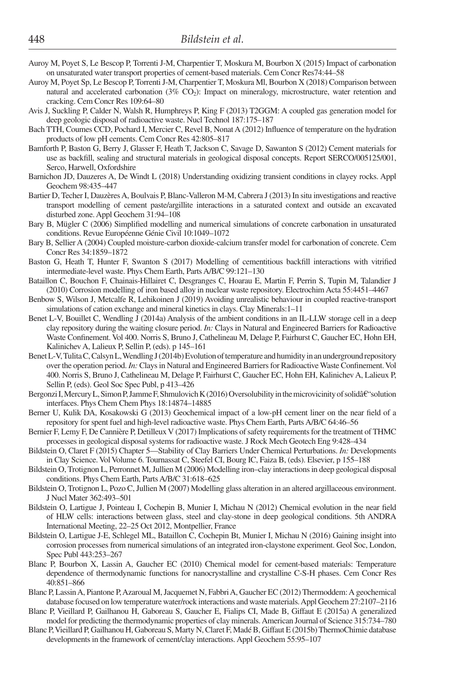- Auroy M, Poyet S, Le Bescop P, Torrenti J-M, Charpentier T, Moskura M, Bourbon X (2015) Impact of carbonation on unsaturated water transport properties of cement-based materials. Cem Concr Res74:44–58
- Auroy M, Poyet Sp, Le Bescop P, Torrenti J-M, Charpentier T, Moskura Ml, Bourbon X (2018) Comparison between natural and accelerated carbonation  $(3\% \text{ CO}_2)$ : Impact on mineralogy, microstructure, water retention and cracking. Cem Concr Res 109:64–80
- Avis J, Suckling P, Calder N, Walsh R, Humphreys P, King F (2013) T2GGM: A coupled gas generation model for deep geologic disposal of radioactive waste. Nucl Technol 187:175–187
- Bach TTH, Coumes CCD, Pochard I, Mercier C, Revel B, Nonat A (2012) Influence of temperature on the hydration products of low pH cements. Cem Concr Res 42:805–817
- Bamforth P, Baston G, Berry J, Glasser F, Heath T, Jackson C, Savage D, Sawanton S (2012) Cement materials for use as backfill, sealing and structural materials in geological disposal concepts. Report SERCO/005125/001, Serco, Harwell, Oxfordshire
- Barnichon JD, Dauzeres A, De Windt L (2018) Understanding oxidizing transient conditions in clayey rocks. Appl Geochem 98:435–447
- Bartier D, Techer I, Dauzères A, Boulvais P, Blanc-Valleron M-M, Cabrera J (2013) In situ investigations and reactive transport modelling of cement paste/argillite interactions in a saturated context and outside an excavated disturbed zone. Appl Geochem 31:94–108
- Bary B, Mügler C (2006) Simplified modelling and numerical simulations of concrete carbonation in unsaturated conditions. Revue Européenne Génie Civil 10:1049–1072
- Bary B, Sellier A (2004) Coupled moisture-carbon dioxide-calcium transfer model for carbonation of concrete. Cem Concr Res 34:1859–1872
- Baston G, Heath T, Hunter F, Swanton S (2017) Modelling of cementitious backfill interactions with vitrified intermediate-level waste. Phys Chem Earth, Parts A/B/C 99:121–130
- Bataillon C, Bouchon F, Chainais-Hillairet C, Desgranges C, Hoarau E, Martin F, Perrin S, Tupin M, Talandier J (2010) Corrosion modelling of iron based alloy in nuclear waste repository. Electrochim Acta 55:4451–4467
- Benbow S, Wilson J, Metcalfe R, Lehikoinen J (2019) Avoiding unrealistic behaviour in coupled reactive-transport simulations of cation exchange and mineral kinetics in clays. Clay Minerals:1–11
- Benet L-V, Bouillet C, Wendling J (2014a) Analysis of the ambient conditions in an IL-LLW storage cell in a deep clay repository during the waiting closure period. *In:* Clays in Natural and Engineered Barriers for Radioactive Waste Confinement. Vol 400. Norris S, Bruno J, Cathelineau M, Delage P, Fairhurst C, Gaucher EC, Hohn EH, Kalinichev A, Lalieux P, Sellin P, (eds). p 145–161
- Benet L-V, Tulita C, Calsyn L, Wendling J (2014b) Evolution of temperature and humidity in an underground repository over the operation period. *In:* Clays in Natural and Engineered Barriers for Radioactive Waste Confinement. Vol 400. Norris S, Bruno J, Cathelineau M, Delage P, Fairhurst C, Gaucher EC, Hohn EH, Kalinichev A, Lalieux P, Sellin P, (eds). Geol Soc Spec Publ, p 413–426
- Bergonzi I, Mercury L, Simon P, Jamme F, Shmulovich K (2016) Oversolubility in the microvicinity of solida $\mathfrak{E}^*$ solution interfaces. Phys Chem Chem Phys 18:14874–14885
- Berner U, Kulik DA, Kosakowski G (2013) Geochemical impact of a low-pH cement liner on the near field of a repository for spent fuel and high-level radioactive waste. Phys Chem Earth, Parts A/B/C 64:46–56
- Bernier F, Lemy F, De Cannière P, Detilleux V (2017) Implications of safety requirements for the treatment of THMC processes in geological disposal systems for radioactive waste. J Rock Mech Geotech Eng 9:428–434
- Bildstein O, Claret F (2015) Chapter 5—Stability of Clay Barriers Under Chemical Perturbations. *In:* Developments in Clay Science. Vol Volume 6. Tournassat C, Steefel CI, Bourg IC, Faiza B, (eds). Elsevier, p 155–188
- Bildstein O, Trotignon L, Perronnet M, Jullien M (2006) Modelling iron–clay interactions in deep geological disposal conditions. Phys Chem Earth, Parts A/B/C 31:618–625
- Bildstein O, Trotignon L, Pozo C, Jullien M (2007) Modelling glass alteration in an altered argillaceous environment. J Nucl Mater 362:493–501
- Bildstein O, Lartigue J, Pointeau I, Cochepin B, Munier I, Michau N (2012) Chemical evolution in the near field of HLW cells: interactions between glass, steel and clay-stone in deep geological conditions. 5th ANDRA International Meeting, 22–25 Oct 2012, Montpellier, France
- Bildstein O, Lartigue J-E, Schlegel ML, Bataillon C, Cochepin Bt, Munier I, Michau N (2016) Gaining insight into corrosion processes from numerical simulations of an integrated iron-claystone experiment. Geol Soc, London, Spec Publ 443:253–267
- Blanc P, Bourbon X, Lassin A, Gaucher EC (2010) Chemical model for cement-based materials: Temperature dependence of thermodynamic functions for nanocrystalline and crystalline C-S-H phases. Cem Concr Res 40:851–866
- Blanc P, Lassin A, Piantone P, Azaroual M, Jacquemet N, Fabbri A, Gaucher EC (2012) Thermoddem: A geochemical database focused on low temperature water/rock interactions and waste materials. Appl Geochem 27:2107–2116
- Blanc P, Vieillard P, Gailhanou H, Gaboreau S, Gaucher E, Fialips CI, Made B, Giffaut E (2015a) A generalized model for predicting the thermodynamic properties of clay minerals. American Journal of Science 315:734–780
- Blanc P, Vieillard P, Gailhanou H, Gaboreau S, Marty N, Claret F, Madé B, Giffaut E (2015b) ThermoChimie database developments in the framework of cement/clay interactions. Appl Geochem 55:95–107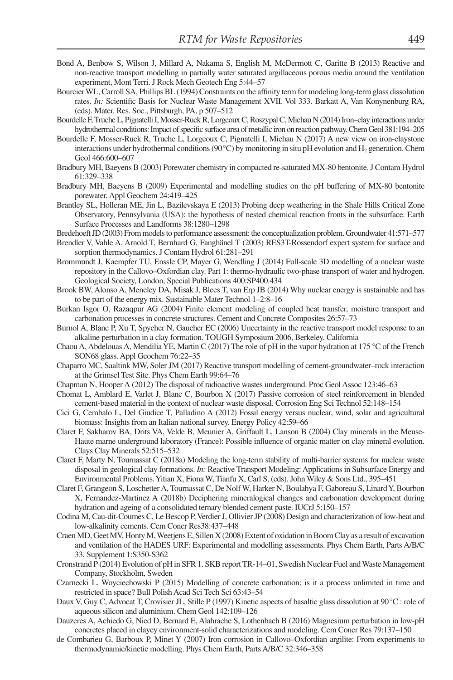- Bond A, Benbow S, Wilson J, Millard A, Nakama S, English M, McDermott C, Garitte B (2013) Reactive and non-reactive transport modelling in partially water saturated argillaceous porous media around the ventilation experiment, Mont Terri. J Rock Mech Geotech Eng 5:44–57
- Bourcier WL, Carroll SA, Phillips BL (1994) Constraints on the affinity term for modeling long-term glass dissolution rates. *In:* Scientific Basis for Nuclear Waste Management XVII. Vol 333. Barkatt A, Van Konynenburg RA, (eds). Mater. Res. Soc., Pittsburgh, PA, p 507–512
- Bourdelle F, Truche L, Pignatelli I, Mosser-Ruck R, Lorgeoux C, Roszypal C, Michau N (2014) Iron–clay interactions under hydrothermal conditions: Impact of specific surface area of metallic iron on reaction pathway. Chem Geol 381:194–205
- Bourdelle F, Mosser-Ruck R, Truche L, Lorgeoux C, Pignatelli I, Michau N (2017) A new view on iron-claystone interactions under hydrothermal conditions (90 °C) by monitoring in situ pH evolution and  $H_2$  generation. Chem Geol 466:600–607
- Bradbury MH, Baeyens B (2003) Porewater chemistry in compacted re-saturated MX-80 bentonite. J Contam Hydrol 61:329–338
- Bradbury MH, Baeyens B (2009) Experimental and modelling studies on the pH buffering of MX-80 bentonite porewater. Appl Geochem 24:419–425
- Brantley SL, Holleran ME, Jin L, Bazilevskaya E (2013) Probing deep weathering in the Shale Hills Critical Zone Observatory, Pennsylvania (USA): the hypothesis of nested chemical reaction fronts in the subsurface. Earth Surface Processes and Landforms 38:1280–1298
- Bredehoeft JD (2003) From models to performance assessment: the conceptualization problem. Groundwater 41:571–577
- Brendler V, Vahle A, Arnold T, Bernhard G, Fanghänel T (2003) RES3T-Rossendorf expert system for surface and sorption thermodynamics. J Contam Hydrol 61:281–291
- Brommundt J, Kaempfer TU, Enssle CP, Mayer G, Wendling J (2014) Full-scale 3D modelling of a nuclear waste repository in the Callovo–Oxfordian clay. Part 1: thermo-hydraulic two-phase transport of water and hydrogen. Geological Society, London, Special Publications 400:SP400.434
- Brook BW, Alonso A, Meneley DA, Misak J, Blees T, van Erp JB (2014) Why nuclear energy is sustainable and has to be part of the energy mix. Sustainable Mater Technol 1–2:8–16
- Burkan Isgor O, Razaqpur AG (2004) Finite element modeling of coupled heat transfer, moisture transport and carbonation processes in concrete structures. Cement and Concrete Composites 26:57–73
- Burnol A, Blanc P, Xu T, Spycher N, Gaucher EC (2006) Uncertainty in the reactive transport model response to an alkaline perturbation in a clay formation. TOUGH Symposium 2006, Berkeley, California
- Chaou A, Abdelouas A, Mendilia YE, Martin C (2017) The role of pH in the vapor hydration at 175 °C of the French SON68 glass. Appl Geochem 76:22–35
- Chaparro MC, Saaltink MW, Soler JM (2017) Reactive transport modelling of cement-groundwater–rock interaction at the Grimsel Test Site. Phys Chem Earth 99:64–76
- Chapman N, Hooper A (2012) The disposal of radioactive wastes underground. Proc Geol Assoc 123:46–63
- Chomat L, Amblard E, Varlet J, Blanc C, Bourbon X (2017) Passive corrosion of steel reinforcement in blended cement-based material in the context of nuclear waste disposal. Corrosion Eng Sci Technol 52:148–154
- Cici G, Cembalo L, Del Giudice T, Palladino A (2012) Fossil energy versus nuclear, wind, solar and agricultural biomass: Insights from an Italian national survey. Energy Policy 42:59–66
- Claret F, Sakharov BA, Drits VA, Velde B, Meunier A, Griffault L, Lanson B (2004) Clay minerals in the Meuse-Haute marne underground laboratory (France): Possible influence of organic matter on clay mineral evolution. Clays Clay Minerals 52:515–532
- Claret F, Marty N, Tournassat C (2018a) Modeling the long-term stability of multi-barrier systems for nuclear waste disposal in geological clay formations. *In:* Reactive Transport Modeling: Applications in Subsurface Energy and Environmental Problems. Yitian X, Fiona W, Tianfu X, Carl S, (eds). John Wiley & Sons Ltd., 395–451
- Claret F, Grangeon S, Loschetter A, Tournassat C, De Nolf W, Harker N, Boulahya F, Gaboreau S, Linard Y, Bourbon X, Fernandez-Martinez A (2018b) Deciphering mineralogical changes and carbonation development during hydration and ageing of a consolidated ternary blended cement paste. IUCrJ 5:150–157
- Codina M, Cau-dit-Coumes C, Le Bescop P, Verdier J, Ollivier JP (2008) Design and characterization of low-heat and low-alkalinity cements. Cem Concr Res38:437–448
- Craen MD, Geet MV, Honty M, Weetjens E, Sillen X (2008) Extent of oxidation in Boom Clay as a result of excavation and ventilation of the HADES URF: Experimental and modelling assessments. Phys Chem Earth, Parts A/B/C 33, Supplement 1:S350-S362
- Cronstrand P (2014) Evolution of pH in SFR 1. SKB report TR-14–01, Swedish Nuclear Fuel and Waste Management Company, Stockholm, Sweden
- Czarnecki L, Woyciechowski P (2015) Modelling of concrete carbonation; is it a process unlimited in time and restricted in space? Bull Polish Acad Sci Tech Sci 63:43–54
- Daux V, Guy C, Advocat T, Crovisier JL, Stille P (1997) Kinetic aspects of basaltic glass dissolution at 90°C : role of aqueous silicon and aluminium. Chem Geol 142:109–126
- Dauzeres A, Achiedo G, Nied D, Bernard E, Alahrache S, Lothenbach B (2016) Magnesium perturbation in low-pH concretes placed in clayey environment-solid characterizations and modeling. Cem Concr Res 79:137–150
- de Combarieu G, Barboux P, Minet Y (2007) Iron corrosion in Callovo–Oxfordian argilite: From experiments to thermodynamic/kinetic modelling. Phys Chem Earth, Parts A/B/C 32:346–358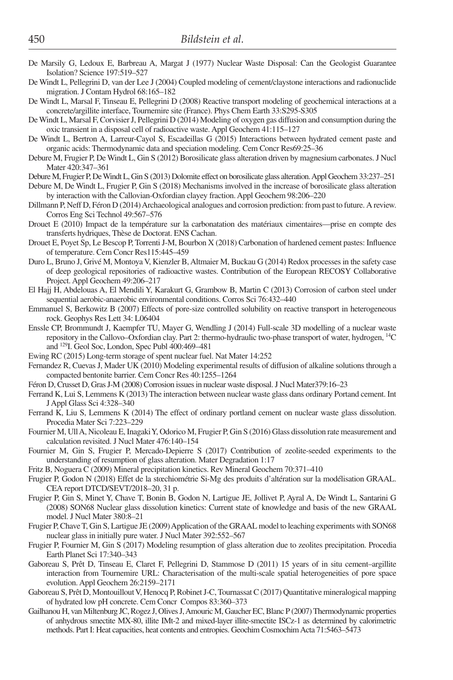- De Marsily G, Ledoux E, Barbreau A, Margat J (1977) Nuclear Waste Disposal: Can the Geologist Guarantee Isolation? Science 197:519–527
- De Windt L, Pellegrini D, van der Lee J (2004) Coupled modeling of cement/claystone interactions and radionuclide migration. J Contam Hydrol 68:165–182
- De Windt L, Marsal F, Tinseau E, Pellegrini D (2008) Reactive transport modeling of geochemical interactions at a concrete/argillite interface, Tournemire site (France). Phys Chem Earth 33:S295-S305
- De Windt L, Marsal F, Corvisier J, Pellegrini D (2014) Modeling of oxygen gas diffusion and consumption during the oxic transient in a disposal cell of radioactive waste. Appl Geochem 41:115–127
- De Windt L, Bertron A, Larreur-Cayol S, Escadeillas G (2015) Interactions between hydrated cement paste and organic acids: Thermodynamic data and speciation modeling. Cem Concr Res69:25–36
- Debure M, Frugier P, De Windt L, Gin S (2012) Borosilicate glass alteration driven by magnesium carbonates. J Nucl Mater 420:347–361
- Debure M, Frugier P, De Windt L, Gin S (2013) Dolomite effect on borosilicate glass alteration. Appl Geochem 33:237–251
- Debure M, De Windt L, Frugier P, Gin S (2018) Mechanisms involved in the increase of borosilicate glass alteration by interaction with the Callovian-Oxfordian clayey fraction. Appl Geochem 98:206–220
- Dillmann P, Neff D, Féron D (2014) Archaeological analogues and corrosion prediction: from past to future. A review. Corros Eng Sci Technol 49:567–576
- Drouet E (2010) Impact de la température sur la carbonatation des matériaux cimentaires—prise en compte des transferts hydriques, Thèse de Doctorat. ENS Cachan.
- Drouet E, Poyet Sp, Le Bescop P, Torrenti J-M, Bourbon X (2018) Carbonation of hardened cement pastes: Influence of temperature. Cem Concr Res115:445–459
- Duro L, Bruno J, Grivé M, Montoya V, Kienzler B, Altmaier M, Buckau G (2014) Redox processes in the safety case of deep geological repositories of radioactive wastes. Contribution of the European RECOSY Collaborative Project. Appl Geochem 49:206–217
- El Hajj H, Abdelouas A, El Mendili Y, Karakurt G, Grambow B, Martin C (2013) Corrosion of carbon steel under sequential aerobic-anaerobic environmental conditions. Corros Sci 76:432–440
- Emmanuel S, Berkowitz B (2007) Effects of pore-size controlled solubility on reactive transport in heterogeneous rock. Geophys Res Lett 34: L06404
- Enssle CP, Brommundt J, Kaempfer TU, Mayer G, Wendling J (2014) Full-scale 3D modelling of a nuclear waste repository in the Callovo–Oxfordian clay. Part 2: thermo-hydraulic two-phase transport of water, hydrogen, 14C and 129I. Geol Soc, London, Spec Publ 400:469–481
- Ewing RC (2015) Long-term storage of spent nuclear fuel. Nat Mater 14:252
- Fernandez R, Cuevas J, Mader UK (2010) Modeling experimental results of diffusion of alkaline solutions through a compacted bentonite barrier. Cem Concr Res 40:1255–1264
- Féron D, Crusset D, Gras J-M (2008) Corrosion issues in nuclear waste disposal. J Nucl Mater379:16–23
- Ferrand K, Lui S, Lemmens K (2013) The interaction between nuclear waste glass dans ordinary Portand cement. Int J Appl Glass Sci 4:328–340
- Ferrand K, Liu S, Lemmens K (2014) The effect of ordinary portland cement on nuclear waste glass dissolution. Procedia Mater Sci 7:223–229
- Fournier M, Ull A, Nicoleau E, Inagaki Y, Odorico M, Frugier P, Gin S (2016) Glass dissolution rate measurement and calculation revisited. J Nucl Mater 476:140–154
- Fournier M, Gin S, Frugier P, Mercado-Depierre S (2017) Contribution of zeolite-seeded experiments to the understanding of resumption of glass alteration. Mater Degradation 1:17
- Fritz B, Noguera C (2009) Mineral precipitation kinetics. Rev Mineral Geochem 70:371–410
- Frugier P, Godon N (2018) Effet de la stœchiométrie Si-Mg des produits d'altération sur la modélisation GRAAL. CEA report DTCD/SEVT/2018–20, 31 p.
- Frugier P, Gin S, Minet Y, Chave T, Bonin B, Godon N, Lartigue JE, Jollivet P, Ayral A, De Windt L, Santarini G (2008) SON68 Nuclear glass dissolution kinetics: Current state of knowledge and basis of the new GRAAL model. J Nucl Mater 380:8–21
- Frugier P, Chave T, Gin S, Lartigue JE (2009) Application of the GRAAL model to leaching experiments with SON68 nuclear glass in initially pure water. J Nucl Mater 392:552–567
- Frugier P, Fournier M, Gin S (2017) Modeling resumption of glass alteration due to zeolites precipitation. Procedia Earth Planet Sci 17:340–343
- Gaboreau S, Prêt D, Tinseau E, Claret F, Pellegrini D, Stammose D (2011) 15 years of in situ cement–argillite interaction from Tournemire URL: Characterisation of the multi-scale spatial heterogeneities of pore space evolution. Appl Geochem 26:2159–2171
- Gaboreau S, Prêt D, Montouillout V, Henocq P, Robinet J-C, Tournassat C (2017) Quantitative mineralogical mapping of hydrated low pH concrete. Cem Concr Compos 83:360–373
- Gailhanou H, van Miltenburg JC, Rogez J, Olives J, Amouric M, Gaucher EC, Blanc P (2007) Thermodynamic properties of anhydrous smectite MX-80, illite IMt-2 and mixed-layer illite-smectite ISCz-1 as determined by calorimetric methods. Part I: Heat capacities, heat contents and entropies. Geochim Cosmochim Acta 71:5463–5473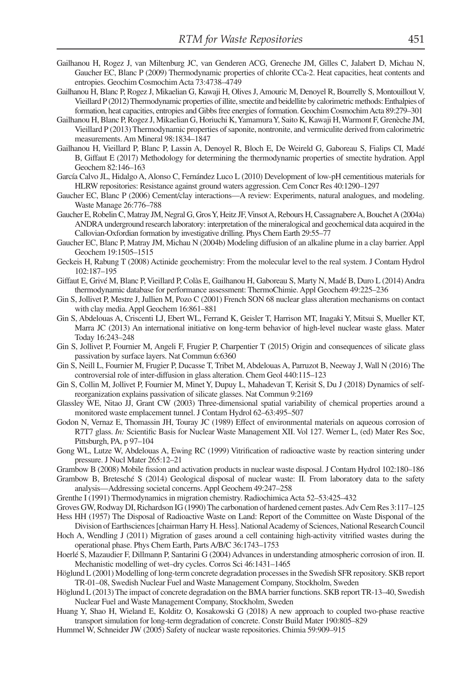- Gailhanou H, Rogez J, van Miltenburg JC, van Genderen ACG, Greneche JM, Gilles C, Jalabert D, Michau N, Gaucher EC, Blanc P (2009) Thermodynamic properties of chlorite CCa-2. Heat capacities, heat contents and entropies. Geochim Cosmochim Acta 73:4738–4749
- Gailhanou H, Blanc P, Rogez J, Mikaelian G, Kawaji H, Olives J, Amouric M, Denoyel R, Bourrelly S, Montouillout V, Vieillard P (2012) Thermodynamic properties of illite, smectite and beidellite by calorimetric methods: Enthalpies of formation, heat capacities, entropies and Gibbs free energies of formation. Geochim Cosmochim Acta 89:279–301
- Gailhanou H, Blanc P, Rogez J, Mikaelian G, Horiuchi K, Yamamura Y, Saito K, Kawaji H, Warmont F, Grenèche JM, Vieillard P (2013) Thermodynamic properties of saponite, nontronite, and vermiculite derived from calorimetric measurements. Am Mineral 98:1834–1847
- Gailhanou H, Vieillard P, Blanc P, Lassin A, Denoyel R, Bloch E, De Weireld G, Gaboreau S, Fialips CI, Madé B, Giffaut E (2017) Methodology for determining the thermodynamic properties of smectite hydration. Appl Geochem 82:146–163
- García Calvo JL, Hidalgo A, Alonso C, Fernández Luco L (2010) Development of low-pH cementitious materials for HLRW repositories: Resistance against ground waters aggression. Cem Concr Res 40:1290–1297
- Gaucher EC, Blanc P (2006) Cement/clay interactions—A review: Experiments, natural analogues, and modeling. Waste Manage 26:776–788
- Gaucher E, Robelin C, Matray JM, Negral G, Gros Y, Heitz JF, Vinsot A, Rebours H, Cassagnabere A, Bouchet A (2004a) ANDRA underground research laboratory: interpretation of the mineralogical and geochemical data acquired in the Callovian-Oxfordian formation by investigative drilling. Phys Chem Earth 29:55–77
- Gaucher EC, Blanc P, Matray JM, Michau N (2004b) Modeling diffusion of an alkaline plume in a clay barrier. Appl Geochem 19:1505–1515
- Geckeis H, Rabung T (2008) Actinide geochemistry: From the molecular level to the real system. J Contam Hydrol 102:187–195
- Giffaut E, Grivé M, Blanc P, Vieillard P, Colàs E, Gailhanou H, Gaboreau S, Marty N, Madé B, Duro L (2014) Andra thermodynamic database for performance assessment: ThermoChimie. Appl Geochem 49:225–236
- Gin S, Jollivet P, Mestre J, Jullien M, Pozo C (2001) French SON 68 nuclear glass alteration mechanisms on contact with clay media. Appl Geochem 16:861–881
- Gin S, Abdelouas A, Criscenti LJ, Ebert WL, Ferrand K, Geisler T, Harrison MT, Inagaki Y, Mitsui S, Mueller KT, Marra JC (2013) An international initiative on long-term behavior of high-level nuclear waste glass. Mater Today 16:243–248
- Gin S, Jollivet P, Fournier M, Angeli F, Frugier P, Charpentier T (2015) Origin and consequences of silicate glass passivation by surface layers. Nat Commun 6:6360
- Gin S, Neill L, Fournier M, Frugier P, Ducasse T, Tribet M, Abdelouas A, Parruzot B, Neeway J, Wall N (2016) The controversial role of inter-diffusion in glass alteration. Chem Geol 440:115–123
- Gin S, Collin M, Jollivet P, Fournier M, Minet Y, Dupuy L, Mahadevan T, Kerisit S, Du J (2018) Dynamics of selfreorganization explains passivation of silicate glasses. Nat Commun 9:2169
- Glassley WE, Nitao JJ, Grant CW (2003) Three-dimensional spatial variability of chemical properties around a monitored waste emplacement tunnel. J Contam Hydrol 62–63:495–507
- Godon N, Vernaz E, Thomassin JH, Touray JC (1989) Effect of environmental materials on aqueous corrosion of R7T7 glass. *In:* Scientific Basis for Nuclear Waste Management XII. Vol 127. Werner L, (ed) Mater Res Soc, Pittsburgh, PA, p 97–104
- Gong WL, Lutze W, Abdelouas A, Ewing RC (1999) Vitrification of radioactive waste by reaction sintering under pressure. J Nucl Mater 265:12–21
- Grambow B (2008) Mobile fission and activation products in nuclear waste disposal. J Contam Hydrol 102:180–186
- Grambow B, Bretesché S (2014) Geological disposal of nuclear waste: II. From laboratory data to the safety analysis—Addressing societal concerns. Appl Geochem 49:247–258
- Grenthe I (1991) Thermodynamics in migration chemistry. Radiochimica Acta 52–53:425–432
- Groves GW, Rodway DI, Richardson IG (1990) The carbonation of hardened cement pastes. Adv Cem Res 3:117–125
- Hess HH (1957) The Disposal of Radioactive Waste on Land: Report of the Committee on Waste Disponal of the Division of Earthsciences [chairman Harry H. Hess]. National Academy of Sciences, National Research Council
- Hoch A, Wendling J (2011) Migration of gases around a cell containing high-activity vitrified wastes during the operational phase. Phys Chem Earth, Parts A/B/C 36:1743–1753
- Hoerlé S, Mazaudier F, Dillmann P, Santarini G (2004) Advances in understanding atmospheric corrosion of iron. II. Mechanistic modelling of wet–dry cycles. Corros Sci 46:1431–1465
- Höglund L (2001) Modelling of long-term concrete degradation processes in the Swedish SFR repository. SKB report TR-01–08, Swedish Nuclear Fuel and Waste Management Company, Stockholm, Sweden
- Höglund L (2013) The impact of concrete degradation on the BMA barrier functions. SKB report TR-13–40, Swedish Nuclear Fuel and Waste Management Company, Stockholm, Sweden
- Huang Y, Shao H, Wieland E, Kolditz O, Kosakowski G (2018) A new approach to coupled two-phase reactive transport simulation for long-term degradation of concrete. Constr Build Mater 190:805–829
- Hummel W, Schneider JW (2005) Safety of nuclear waste repositories. Chimia 59:909–915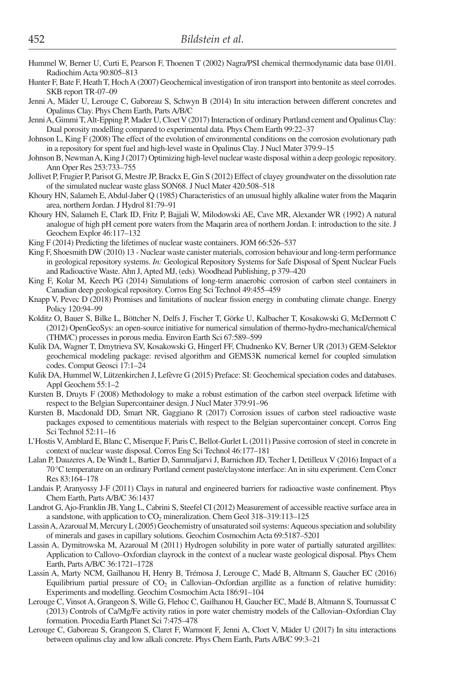- Hummel W, Berner U, Curti E, Pearson F, Thoenen T (2002) Nagra/PSI chemical thermodynamic data base 01/01. Radiochim Acta 90:805–813
- Hunter F, Bate F, Heath T, Hoch A (2007) Geochemical investigation of iron transport into bentonite as steel corrodes. SKB report TR-07–09
- Jenni A, Mäder U, Lerouge C, Gaboreau S, Schwyn B (2014) In situ interaction between different concretes and Opalinus Clay. Phys Chem Earth, Parts A/B/C
- Jenni A, Gimmi T, Alt-Epping P, Mader U, Cloet V (2017) Interaction of ordinary Portland cement and Opalinus Clay: Dual porosity modelling compared to experimental data. Phys Chem Earth 99:22–37
- Johnson L, King F (2008) The effect of the evolution of environmental conditions on the corrosion evolutionary path in a repository for spent fuel and high-level waste in Opalinus Clay. J Nucl Mater 379:9–15
- Johnson B, Newman A, King J (2017) Optimizing high-level nuclear waste disposal within a deep geologic repository. Ann Oper Res 253:733–755
- Jollivet P, Frugier P, Parisot G, Mestre JP, Brackx E, Gin S (2012) Effect of clayey groundwater on the dissolution rate of the simulated nuclear waste glass SON68. J Nucl Mater 420:508–518
- Khoury HN, Salameh E, Abdul-Jaber Q (1985) Characteristics of an unusual highly alkaline water from the Maqarin area, northern Jordan. J Hydrol 81:79–91
- Khoury HN, Salameh E, Clark ID, Fritz P, Bajjali W, Milodowski AE, Cave MR, Alexander WR (1992) A natural analogue of high pH cement pore waters from the Maqarin area of northern Jordan. I: introduction to the site. J Geochem Explor 46:117–132
- King F (2014) Predicting the lifetimes of nuclear waste containers. JOM 66:526–537
- King F, Shoesmith DW (2010) 13 Nuclear waste canister materials, corrosion behaviour and long-term performance in geological repository systems. *In:* Geological Repository Systems for Safe Disposal of Spent Nuclear Fuels and Radioactive Waste. Ahn J, Apted MJ, (eds). Woodhead Publishing, p 379–420
- King F, Kolar M, Keech PG (2014) Simulations of long-term anaerobic corrosion of carbon steel containers in Canadian deep geological repository. Corros Eng Sci Technol 49:455–459
- Knapp V, Pevec D (2018) Promises and limitations of nuclear fission energy in combating climate change. Energy Policy 120:94–99
- Kolditz O, Bauer S, Bilke L, Böttcher N, Delfs J, Fischer T, Görke U, Kalbacher T, Kosakowski G, McDermott C (2012) OpenGeoSys: an open-source initiative for numerical simulation of thermo-hydro-mechanical/chemical (THM/C) processes in porous media. Environ Earth Sci 67:589–599
- Kulik DA, Wagner T, Dmytrieva SV, Kosakowski G, Hingerl FF, Chudnenko KV, Berner UR (2013) GEM-Selektor geochemical modeling package: revised algorithm and GEMS3K numerical kernel for coupled simulation codes. Comput Geosci 17:1–24
- Kulik DA, Hummel W, Lützenkirchen J, Lefèvre G (2015) Preface: SI: Geochemical speciation codes and databases. Appl Geochem 55:1–2
- Kursten B, Druyts F (2008) Methodology to make a robust estimation of the carbon steel overpack lifetime with respect to the Belgian Supercontainer design. J Nucl Mater 379:91–96
- Kursten B, Macdonald DD, Smart NR, Gaggiano R (2017) Corrosion issues of carbon steel radioactive waste packages exposed to cementitious materials with respect to the Belgian supercontainer concept. Corros Eng Sci Technol 52:11–16
- L'Hostis V, Amblard E, Blanc C, Miserque F, Paris C, Bellot-Gurlet L (2011) Passive corrosion of steel in concrete in context of nuclear waste disposal. Corros Eng Sci Technol 46:177–181
- Lalan P, Dauzeres A, De Windt L, Bartier D, Sammaljarvi J, Barnichon JD, Techer I, Detilleux V (2016) Impact of a 70°C temperature on an ordinary Portland cement paste/claystone interface: An in situ experiment. Cem Concr Res 83:164–178
- Landais P, Aranyossy J-F (2011) Clays in natural and engineered barriers for radioactive waste confinement. Phys Chem Earth, Parts A/B/C 36:1437
- Landrot G, Ajo-Franklin JB, Yang L, Cabrini S, Steefel CI (2012) Measurement of accessible reactive surface area in a sandstone, with application to CO<sub>2</sub> mineralization. Chem Geol 318–319:113–125
- Lassin A, Azaroual M, Mercury L (2005) Geochemistry of unsaturated soil systems: Aqueous speciation and solubility of minerals and gases in capillary solutions. Geochim Cosmochim Acta 69:5187–5201
- Lassin A, Dymitrowska M, Azaroual M (2011) Hydrogen solubility in pore water of partially saturated argillites: Application to Callovo–Oxfordian clayrock in the context of a nuclear waste geological disposal. Phys Chem Earth, Parts A/B/C 36:1721–1728
- Lassin A, Marty NCM, Gailhanou H, Henry B, Trémosa J, Lerouge C, Madé B, Altmann S, Gaucher EC (2016) Equilibrium partial pressure of  $CO<sub>2</sub>$  in Callovian–Oxfordian argillite as a function of relative humidity: Experiments and modelling. Geochim Cosmochim Acta 186:91–104
- Lerouge C, Vinsot A, Grangeon S, Wille G, Flehoc C, Gailhanou H, Gaucher EC, Madé B, Altmann S, Tournassat C (2013) Controls of Ca/Mg/Fe activity ratios in pore water chemistry models of the Callovian–Oxfordian Clay formation. Procedia Earth Planet Sci 7:475–478
- Lerouge C, Gaboreau S, Grangeon S, Claret F, Warmont F, Jenni A, Cloet V, Mäder U (2017) In situ interactions between opalinus clay and low alkali concrete. Phys Chem Earth, Parts A/B/C 99:3–21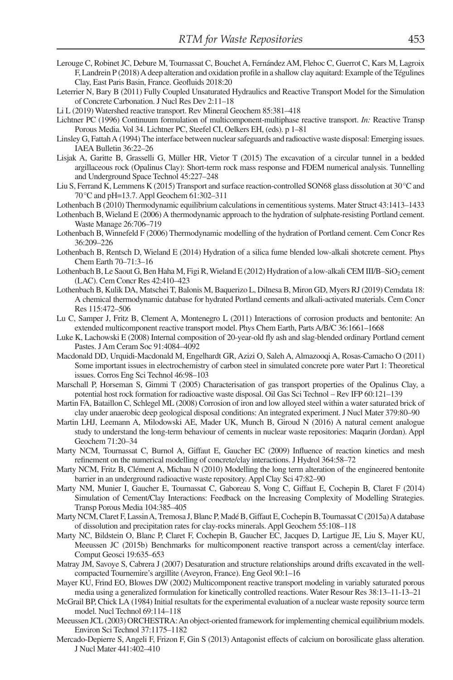- Lerouge C, Robinet JC, Debure M, Tournassat C, Bouchet A, Fernández AM, Flehoc C, Guerrot C, Kars M, Lagroix F, Landrein P (2018) A deep alteration and oxidation profile in a shallow clay aquitard: Example of the Tégulines Clay, East Paris Basin, France. Geofluids 2018:20
- Leterrier N, Bary B (2011) Fully Coupled Unsaturated Hydraulics and Reactive Transport Model for the Simulation of Concrete Carbonation. J Nucl Res Dev 2:11–18

Li L (2019) Watershed reactive transport. Rev Mineral Geochem 85:381–418

- Lichtner PC (1996) Continuum formulation of multicomponent-multiphase reactive transport. *In:* Reactive Transp Porous Media. Vol 34. Lichtner PC, Steefel CI, Oelkers EH, (eds). p 1–81
- Linsley G, Fattah A (1994) The interface between nuclear safeguards and radioactive waste disposal: Emerging issues. IAEA Bulletin 36:22–26
- Lisjak A, Garitte B, Grasselli G, Müller HR, Vietor T (2015) The excavation of a circular tunnel in a bedded argillaceous rock (Opalinus Clay): Short-term rock mass response and FDEM numerical analysis. Tunnelling and Underground Space Technol 45:227–248
- Liu S, Ferrand K, Lemmens K (2015) Transport and surface reaction-controlled SON68 glass dissolution at 30°C and 70°C and pH=13.7. Appl Geochem 61:302–311
- Lothenbach B (2010) Thermodynamic equilibrium calculations in cementitious systems. Mater Struct 43:1413–1433
- Lothenbach B, Wieland E (2006) A thermodynamic approach to the hydration of sulphate-resisting Portland cement. Waste Manage 26:706–719
- Lothenbach B, Winnefeld F (2006) Thermodynamic modelling of the hydration of Portland cement. Cem Concr Res 36:209–226
- Lothenbach B, Rentsch D, Wieland E (2014) Hydration of a silica fume blended low-alkali shotcrete cement. Phys Chem Earth 70–71:3–16
- Lothenbach B, Le Saout G, Ben Haha M, Figi R, Wieland E (2012) Hydration of a low-alkali CEM III/B–SiO<sub>2</sub> cement (LAC). Cem Concr Res 42:410–423
- Lothenbach B, Kulik DA, Matschei T, Balonis M, Baquerizo L, Dilnesa B, Miron GD, Myers RJ (2019) Cemdata 18: A chemical thermodynamic database for hydrated Portland cements and alkali-activated materials. Cem Concr Res 115:472–506
- Lu C, Samper J, Fritz B, Clement A, Montenegro L (2011) Interactions of corrosion products and bentonite: An extended multicomponent reactive transport model. Phys Chem Earth, Parts A/B/C 36:1661–1668
- Luke K, Lachowski E (2008) Internal composition of 20-year-old fly ash and slag-blended ordinary Portland cement Pastes. J Am Ceram Soc 91:4084–4092
- Macdonald DD, Urquidi-Macdonald M, Engelhardt GR, Azizi O, Saleh A, Almazooqi A, Rosas-Camacho O (2011) Some important issues in electrochemistry of carbon steel in simulated concrete pore water Part 1: Theoretical issues. Corros Eng Sci Technol 46:98–103
- Marschall P, Horseman S, Gimmi T (2005) Characterisation of gas transport properties of the Opalinus Clay, a potential host rock formation for radioactive waste disposal. Oil Gas Sci Technol – Rev IFP 60:121–139
- Martin FA, Bataillon C, Schlegel ML (2008) Corrosion of iron and low alloyed steel within a water saturated brick of clay under anaerobic deep geological disposal conditions: An integrated experiment. J Nucl Mater 379:80–90
- Martin LHJ, Leemann A, Milodowski AE, Mader UK, Munch B, Giroud N (2016) A natural cement analogue study to understand the long-term behaviour of cements in nuclear waste repositories: Maqarin (Jordan). Appl Geochem 71:20–34
- Marty NCM, Tournassat C, Burnol A, Giffaut E, Gaucher EC (2009) Influence of reaction kinetics and mesh refinement on the numerical modelling of concrete/clay interactions. J Hydrol 364:58–72
- Marty NCM, Fritz B, Clément A, Michau N (2010) Modelling the long term alteration of the engineered bentonite barrier in an underground radioactive waste repository. Appl Clay Sci 47:82–90
- Marty NM, Munier I, Gaucher E, Tournassat C, Gaboreau S, Vong C, Giffaut E, Cochepin B, Claret F (2014) Simulation of Cement/Clay Interactions: Feedback on the Increasing Complexity of Modelling Strategies. Transp Porous Media 104:385–405
- Marty NCM, Claret F, Lassin A, Tremosa J, Blanc P, Madé B, Giffaut E, Cochepin B, Tournassat C (2015a) A database of dissolution and precipitation rates for clay-rocks minerals. Appl Geochem 55:108–118
- Marty NC, Bildstein O, Blanc P, Claret F, Cochepin B, Gaucher EC, Jacques D, Lartigue JE, Liu S, Mayer KU, Meeussen JC (2015b) Benchmarks for multicomponent reactive transport across a cement/clay interface. Comput Geosci 19:635–653
- Matray JM, Savoye S, Cabrera J (2007) Desaturation and structure relationships around drifts excavated in the wellcompacted Tournemire's argillite (Aveyron, France). Eng Geol 90:1–16
- Mayer KU, Frind EO, Blowes DW (2002) Multicomponent reactive transport modeling in variably saturated porous media using a generalized formulation for kinetically controlled reactions. Water Resour Res 38:13–11-13–21
- McGrail BP, Chick LA (1984) Initial resultats for the experimental evaluation of a nuclear waste reposity source term model. Nucl Technol 69:114–118
- Meeussen JCL (2003) ORCHESTRA: An object-oriented framework for implementing chemical equilibrium models. Environ Sci Technol 37:1175–1182
- Mercado-Depierre S, Angeli F, Frizon F, Gin S (2013) Antagonist effects of calcium on borosilicate glass alteration. J Nucl Mater 441:402–410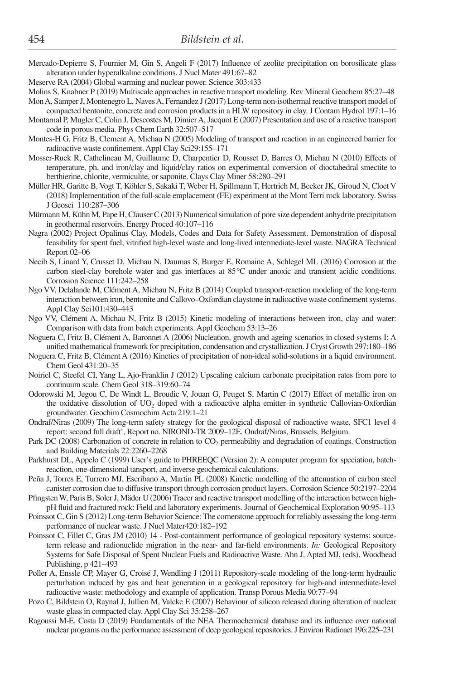- Mercado-Depierre S, Fournier M, Gin S, Angeli F (2017) Influence of zeolite precipitation on borosilicate glass alteration under hyperalkaline conditions. J Nucl Mater 491:67–82
- Meserve RA (2004) Global warming and nuclear power. Science 303:433
- Molins S, Knabner P (2019) Multiscale approaches in reactive transport modeling. Rev Mineral Geochem 85:27–48 Mon A, Samper J, Montenegro L, Naves A, Fernandez J (2017) Long-term non-isothermal reactive transport model of
- compacted bentonite, concrete and corrosion products in a HLW repository in clay. J Contam Hydrol 197:1–16
- Montarnal P, Mugler C, Colin J, Descostes M, Dimier A, Jacquot E (2007) Presentation and use of a reactive transport code in porous media. Phys Chem Earth 32:507–517
- Montes-H G, Fritz B, Clement A, Michau N (2005) Modeling of transport and reaction in an engineered barrier for radioactive waste confinement. Appl Clay Sci29:155–171
- Mosser-Ruck R, Cathelineau M, Guillaume D, Charpentier D, Rousset D, Barres O, Michau N (2010) Effects of temperature, ph, and iron/clay and liquid/clay ratios on experimental conversion of dioctahedral smectite to berthierine, chlorite, vermiculite, or saponite. Clays Clay Miner 58:280–291
- Müller HR, Garitte B, Vogt T, Köhler S, Sakaki T, Weber H, Spillmann T, Hertrich M, Becker JK, Giroud N, Cloet V (2018) Implementation of the full-scale emplacement (FE) experiment at the Mont Terri rock laboratory. Swiss J Geosci 110:287–306
- Mürmann M, Kühn M, Pape H, Clauser C (2013) Numerical simulation of pore size dependent anhydrite precipitation in geothermal reservoirs. Energy Proced 40:107–116
- Nagra (2002) Project Opalinus Clay. Models, Codes and Data for Safety Assessment. Demonstration of disposal feasibility for spent fuel, vitrified high-level waste and long-lived intermediate-level waste. NAGRA Technical Report 02–06
- Necib S, Linard Y, Crusset D, Michau N, Daumas S, Burger E, Romaine A, Schlegel ML (2016) Corrosion at the carbon steel-clay borehole water and gas interfaces at 85°C under anoxic and transient acidic conditions. Corrosion Science 111:242–258
- Ngo VV, Delalande M, Clément A, Michau N, Fritz B (2014) Coupled transport-reaction modeling of the long-term interaction between iron, bentonite and Callovo–Oxfordian claystone in radioactive waste confinement systems. Appl Clay Sci101:430–443
- Ngo VV, Clément A, Michau N, Fritz B (2015) Kinetic modeling of interactions between iron, clay and water: Comparison with data from batch experiments. Appl Geochem 53:13–26
- Noguera C, Fritz B, Clément A, Baronnet A (2006) Nucleation, growth and ageing scenarios in closed systems I: A unified mathematical framework for precipitation, condensation and crystallization. J Cryst Growth 297:180–186
- Noguera C, Fritz B, Clément A (2016) Kinetics of precipitation of non-ideal solid-solutions in a liquid environment. Chem Geol 431:20–35
- Noiriel C, Steefel CI, Yang L, Ajo-Franklin J (2012) Upscaling calcium carbonate precipitation rates from pore to continuum scale. Chem Geol 318–319:60–74
- Odorowski M, Jegou C, De Windt L, Broudic V, Jouan G, Peuget S, Martin C (2017) Effect of metallic iron on the oxidative dissolution of UO<sub>2</sub> doped with a radioactive alpha emitter in synthetic Callovian-Oxfordian groundwater. Geochim Cosmochim Acta 219:1–21
- Ondraf/Niras (2009) The long-term safety strategy for the geological disposal of radioactive waste, SFC1 level 4 report: second full draft', Report no. NIROND-TR 2009–12E, Ondraf/Niras, Brussels, Belgium.
- Park DC (2008) Carbonation of concrete in relation to CO<sub>2</sub> permeability and degradation of coatings. Construction and Building Materials 22:2260–2268
- Parkhurst DL, Appelo C (1999) User's guide to PHREEQC (Version 2): A computer program for speciation, batchreaction, one-dimensional tansport, and inverse geochemical calculations.
- Peña J, Torres E, Turrero MJ, Escribano A, Martin PL (2008) Kinetic modelling of the attenuation of carbon steel canister corrosion due to diffusive transport through corrosion product layers. Corrosion Science 50:2197–2204
- Pfingsten W, Paris B, Soler J, Mäder U (2006) Tracer and reactive transport modelling of the interaction between highpH fluid and fractured rock: Field and laboratory experiments. Journal of Geochemical Exploration 90:95–113
- Poinssot C, Gin S (2012) Long-term Behavior Science: The cornerstone approach for reliably assessing the long-term performance of nuclear waste. J Nucl Mater420:182–192
- Poinssot C, Fillet C, Gras JM (2010) 14 Post-containment performance of geological repository systems: sourceterm release and radionuclide migration in the near- and far-field environments. *In:* Geological Repository Systems for Safe Disposal of Spent Nuclear Fuels and Radioactive Waste. Ahn J, Apted MJ, (eds). Woodhead Publishing, p 421–493
- Poller A, Enssle CP, Mayer G, Croisé J, Wendling J (2011) Repository-scale modeling of the long-term hydraulic perturbation induced by gas and heat generation in a geological repository for high-and intermediate-level radioactive waste: methodology and example of application. Transp Porous Media 90:77–94
- Pozo C, Bildstein O, Raynal J, Jullien M, Valcke E (2007) Behaviour of silicon released during alteration of nuclear waste glass in compacted clay. Appl Clay Sci 35:258–267
- Ragoussi M-E, Costa D (2019) Fundamentals of the NEA Thermochemical database and its influence over national nuclear programs on the performance assessment of deep geological repositories. J Environ Radioact 196:225–231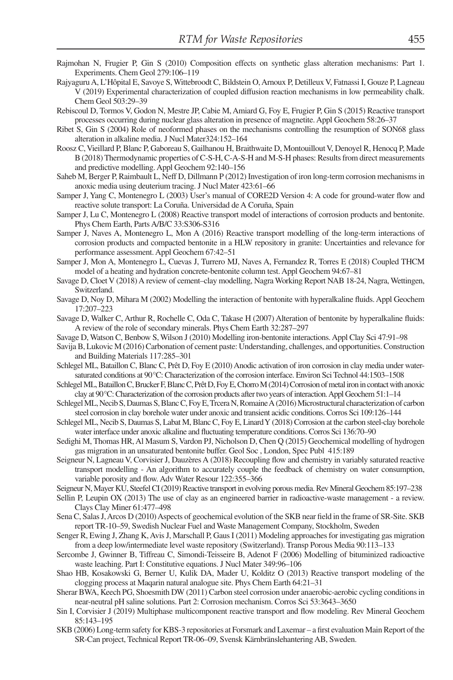- Rajmohan N, Frugier P, Gin S (2010) Composition effects on synthetic glass alteration mechanisms: Part 1. Experiments. Chem Geol 279:106–119
- Rajyaguru A, L'Hôpital E, Savoye S, Wittebroodt C, Bildstein O, Arnoux P, Detilleux V, Fatnassi I, Gouze P, Lagneau V (2019) Experimental characterization of coupled diffusion reaction mechanisms in low permeability chalk. Chem Geol 503:29–39
- Rebiscoul D, Tormos V, Godon N, Mestre JP, Cabie M, Amiard G, Foy E, Frugier P, Gin S (2015) Reactive transport processes occurring during nuclear glass alteration in presence of magnetite. Appl Geochem 58:26–37
- Ribet S, Gin S (2004) Role of neoformed phases on the mechanisms controlling the resumption of SON68 glass alteration in alkaline media. J Nucl Mater324:152–164
- Roosz C, Vieillard P, Blanc P, Gaboreau S, Gailhanou H, Braithwaite D, Montouillout V, Denoyel R, Henocq P, Made B (2018) Thermodynamic properties of C-S-H, C-A-S-H and M-S-H phases: Results from direct measurements and predictive modelling. Appl Geochem 92:140–156
- Saheb M, Berger P, Raimbault L, Neff D, Dillmann P (2012) Investigation of iron long-term corrosion mechanisms in anoxic media using deuterium tracing. J Nucl Mater 423:61–66
- Samper J, Yang C, Montenegro L (2003) User's manual of CORE2D Version 4: A code for ground-water flow and reactive solute transport: La Coruña. Universidad de A Coruña, Spain
- Samper J, Lu C, Montenegro L (2008) Reactive transport model of interactions of corrosion products and bentonite. Phys Chem Earth, Parts A/B/C 33:S306-S316
- Samper J, Naves A, Montenegro L, Mon A (2016) Reactive transport modelling of the long-term interactions of corrosion products and compacted bentonite in a HLW repository in granite: Uncertainties and relevance for performance assessment. Appl Geochem 67:42–51
- Samper J, Mon A, Montenegro L, Cuevas J, Turrero MJ, Naves A, Fernandez R, Torres E (2018) Coupled THCM model of a heating and hydration concrete-bentonite column test. Appl Geochem 94:67–81
- Savage D, Cloet V (2018) A review of cement–clay modelling, Nagra Working Report NAB 18-24, Nagra, Wettingen, Switzerland.
- Savage D, Noy D, Mihara M (2002) Modelling the interaction of bentonite with hyperalkaline fluids. Appl Geochem 17:207–223
- Savage D, Walker C, Arthur R, Rochelle C, Oda C, Takase H (2007) Alteration of bentonite by hyperalkaline fluids: A review of the role of secondary minerals. Phys Chem Earth 32:287–297
- Savage D, Watson C, Benbow S, Wilson J (2010) Modelling iron-bentonite interactions. Appl Clay Sci 47:91–98
- Savija B, Lukovic M (2016) Carbonation of cement paste: Understanding, challenges, and opportunities. Construction and Building Materials 117:285–301
- Schlegel ML, Bataillon C, Blanc C, Prêt D, Foy E (2010) Anodic activation of iron corrosion in clay media under watersaturated conditions at 90°C: Characterization of the corrosion interface. Environ Sci Technol 44:1503–1508
- Schlegel ML, Bataillon C, Brucker F, Blanc C, Prêt D, Foy E, Chorro M (2014) Corrosion of metal iron in contact with anoxic clay at 90°C: Characterization of the corrosion products after two years of interaction. Appl Geochem 51:1–14
- Schlegel ML, Necib S, Daumas S, Blanc C, Foy E, Trcera N, Romaine A (2016) Microstructural characterization of carbon steel corrosion in clay borehole water under anoxic and transient acidic conditions. Corros Sci 109:126–144
- Schlegel ML, Necib S, Daumas S, Labat M, Blanc C, Foy E, Linard Y (2018) Corrosion at the carbon steel-clay borehole water interface under anoxic alkaline and fluctuating temperature conditions. Corros Sci 136:70–90
- Sedighi M, Thomas HR, Al Masum S, Vardon PJ, Nicholson D, Chen Q (2015) Geochemical modelling of hydrogen gas migration in an unsaturated bentonite buffer. Geol Soc , London, Spec Publ 415:189
- Seigneur N, Lagneau V, Corvisier J, Dauzères A (2018) Recoupling flow and chemistry in variably saturated reactive transport modelling - An algorithm to accurately couple the feedback of chemistry on water consumption, variable porosity and flow. Adv Water Resour 122:355–366
- Seigneur N, Mayer KU, Steefel CI (2019) Reactive transport in evolving porous media. Rev Mineral Geochem 85:197–238
- Sellin P, Leupin OX (2013) The use of clay as an engineered barrier in radioactive-waste management a review. Clays Clay Miner 61:477–498
- Sena C, Salas J, Arcos D (2010) Aspects of geochemical evolution of the SKB near field in the frame of SR-Site. SKB report TR-10–59, Swedish Nuclear Fuel and Waste Management Company, Stockholm, Sweden
- Senger R, Ewing J, Zhang K, Avis J, Marschall P, Gaus I (2011) Modeling approaches for investigating gas migration from a deep low/intermediate level waste repository (Switzerland). Transp Porous Media 90:113–133
- Sercombe J, Gwinner B, Tiffreau C, Simondi-Teisseire B, Adenot F (2006) Modelling of bituminized radioactive waste leaching. Part I: Constitutive equations. J Nucl Mater 349:96–106
- Shao HB, Kosakowski G, Berner U, Kulik DA, Mader U, Kolditz O (2013) Reactive transport modeling of the clogging process at Maqarin natural analogue site. Phys Chem Earth 64:21–31
- Sherar BWA, Keech PG, Shoesmith DW (2011) Carbon steel corrosion under anaerobic-aerobic cycling conditions in near-neutral pH saline solutions. Part 2: Corrosion mechanism. Corros Sci 53:3643–3650
- Sin I, Corvisier J (2019) Multiphase multicomponent reactive transport and flow modeling. Rev Mineral Geochem 85:143–195
- SKB (2006) Long-term safety for KBS-3 repositories at Forsmark and Laxemar a first evaluation Main Report of the SR-Can project, Technical Report TR-06–09, Svensk Kärnbränslehantering AB, Sweden.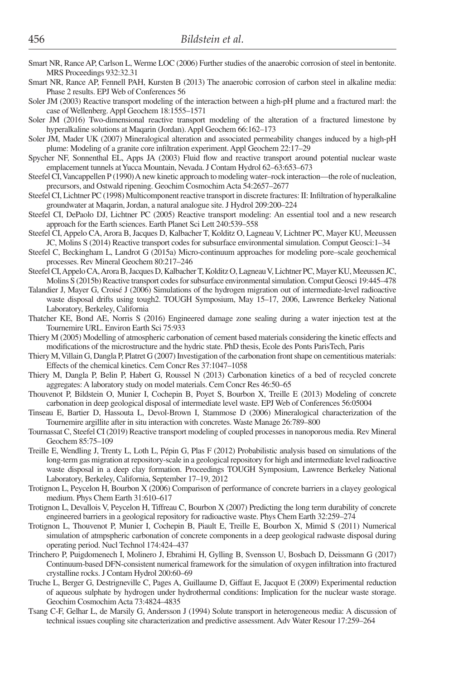- Smart NR, Rance AP, Carlson L, Werme LOC (2006) Further studies of the anaerobic corrosion of steel in bentonite. MRS Proceedings 932:32.31
- Smart NR, Rance AP, Fennell PAH, Kursten B (2013) The anaerobic corrosion of carbon steel in alkaline media: Phase 2 results. EPJ Web of Conferences 56
- Soler JM (2003) Reactive transport modeling of the interaction between a high-pH plume and a fractured marl: the case of Wellenberg. Appl Geochem 18:1555–1571
- Soler JM (2016) Two-dimensional reactive transport modeling of the alteration of a fractured limestone by hyperalkaline solutions at Maqarin (Jordan). Appl Geochem 66:162–173
- Soler JM, Mader UK (2007) Mineralogical alteration and associated permeability changes induced by a high-pH plume: Modeling of a granite core infiltration experiment. Appl Geochem 22:17–29
- Spycher NF, Sonnenthal EL, Apps JA (2003) Fluid flow and reactive transport around potential nuclear waste emplacement tunnels at Yucca Mountain, Nevada. J Contam Hydrol 62–63:653–673
- Steefel CI, Vancappellen P (1990) A new kinetic approach to modeling water–rock interaction—the role of nucleation, precursors, and Ostwald ripening. Geochim Cosmochim Acta 54:2657–2677
- Steefel CI, Lichtner PC (1998) Multicomponent reactive transport in discrete fractures: II: Infiltration of hyperalkaline groundwater at Maqarin, Jordan, a natural analogue site. J Hydrol 209:200–224
- Steefel CI, DePaolo DJ, Lichtner PC (2005) Reactive transport modeling: An essential tool and a new research approach for the Earth sciences. Earth Planet Sci Lett 240:539–558
- Steefel CI, Appelo CA, Arora B, Jacques D, Kalbacher T, Kolditz O, Lagneau V, Lichtner PC, Mayer KU, Meeussen JC, Molins S (2014) Reactive transport codes for subsurface environmental simulation. Comput Geosci:1–34
- Steefel C, Beckingham L, Landrot G (2015a) Micro-continuum approaches for modeling pore–scale geochemical processes. Rev Mineral Geochem 80:217–246
- Steefel CI, Appelo CA, Arora B, Jacques D, Kalbacher T, Kolditz O, Lagneau V, Lichtner PC, Mayer KU, Meeussen JC, Molins S (2015b) Reactive transport codes for subsurface environmental simulation. Comput Geosci 19:445–478
- Talandier J, Mayer G, Croisé J (2006) Simulations of the hydrogen migration out of intermediate-level radioactive waste disposal drifts using tough2. TOUGH Symposium, May 15–17, 2006, Lawrence Berkeley National Laboratory, Berkeley, California
- Thatcher KE, Bond AE, Norris S (2016) Engineered damage zone sealing during a water injection test at the Tournemire URL. Environ Earth Sci 75:933
- Thiery M (2005) Modelling of atmospheric carbonation of cement based materials considering the kinetic effects and modifications of the microstructure and the hydric state. PhD thesis, Ecole des Ponts ParisTech, Paris
- Thiery M, Villain G, Dangla P, Platret G (2007) Investigation of the carbonation front shape on cementitious materials: Effects of the chemical kinetics. Cem Concr Res 37:1047–1058
- Thiery M, Dangla P, Belin P, Habert G, Roussel N (2013) Carbonation kinetics of a bed of recycled concrete aggregates: A laboratory study on model materials. Cem Concr Res 46:50–65
- Thouvenot P, Bildstein O, Munier I, Cochepin B, Poyet S, Bourbon X, Treille E (2013) Modeling of concrete carbonation in deep geological disposal of intermediate level waste. EPJ Web of Conferences 56:05004
- Tinseau E, Bartier D, Hassouta L, Devol-Brown I, Stammose D (2006) Mineralogical characterization of the Tournemire argillite after in situ interaction with concretes. Waste Manage 26:789–800
- Tournassat C, Steefel CI (2019) Reactive transport modeling of coupled processes in nanoporous media. Rev Mineral Geochem 85:75–109
- Treille E, Wendling J, Trenty L, Loth L, Pépin G, Plas F (2012) Probabilistic analysis based on simulations of the long-term gas migration at repository-scale in a geological repository for high and intermediate level radioactive waste disposal in a deep clay formation. Proceedings TOUGH Symposium, Lawrence Berkeley National Laboratory, Berkeley, California, September 17–19, 2012
- Trotignon L, Peycelon H, Bourbon X (2006) Comparison of performance of concrete barriers in a clayey geological medium. Phys Chem Earth 31:610–617
- Trotignon L, Devallois V, Peycelon H, Tiffreau C, Bourbon X (2007) Predicting the long term durability of concrete engineered barriers in a geological repository for radioactive waste. Phys Chem Earth 32:259–274
- Trotignon L, Thouvenot P, Munier I, Cochepin B, Piault E, Treille E, Bourbon X, Mimid S (2011) Numerical simulation of atmpspheric carbonation of concrete components in a deep geological radwaste disposal during operating period. Nucl Technol 174:424–437
- Trinchero P, Puigdomenech I, Molinero J, Ebrahimi H, Gylling B, Svensson U, Bosbach D, Deissmann G (2017) Continuum-based DFN-consistent numerical framework for the simulation of oxygen infiltration into fractured crystalline rocks. J Contam Hydrol 200:60–69
- Truche L, Berger G, Destrigneville C, Pages A, Guillaume D, Giffaut E, Jacquot E (2009) Experimental reduction of aqueous sulphate by hydrogen under hydrothermal conditions: Implication for the nuclear waste storage. Geochim Cosmochim Acta 73:4824–4835
- Tsang C-F, Gelhar L, de Marsily G, Andersson J (1994) Solute transport in heterogeneous media: A discussion of technical issues coupling site characterization and predictive assessment. Adv Water Resour 17:259–264